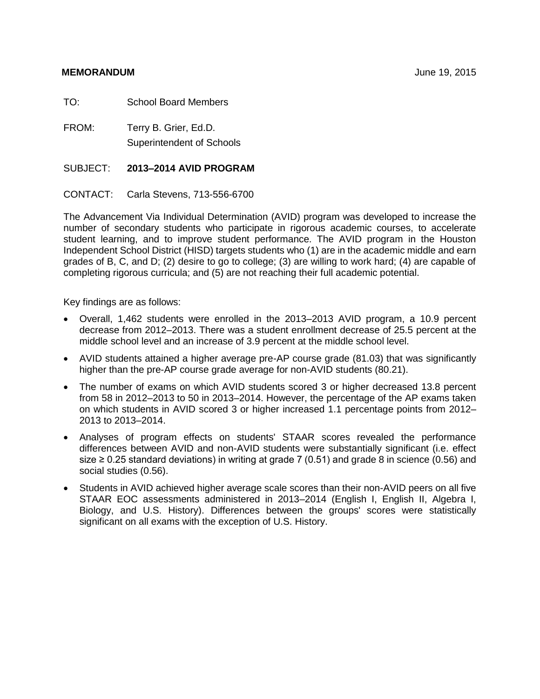#### **MEMORANDUM** June 19, 2015

TO: School Board Members

FROM: Terry B. Grier, Ed.D. Superintendent of Schools

#### SUBJECT: **2013–2014 AVID PROGRAM**

CONTACT: Carla Stevens, 713-556-6700

The Advancement Via Individual Determination (AVID) program was developed to increase the number of secondary students who participate in rigorous academic courses, to accelerate student learning, and to improve student performance. The AVID program in the Houston Independent School District (HISD) targets students who (1) are in the academic middle and earn grades of B, C, and D; (2) desire to go to college; (3) are willing to work hard; (4) are capable of completing rigorous curricula; and (5) are not reaching their full academic potential.

Key findings are as follows:

- Overall, 1,462 students were enrolled in the 2013–2013 AVID program, a 10.9 percent decrease from 2012–2013. There was a student enrollment decrease of 25.5 percent at the middle school level and an increase of 3.9 percent at the middle school level.
- AVID students attained a higher average pre-AP course grade (81.03) that was significantly higher than the pre-AP course grade average for non-AVID students (80.21).
- The number of exams on which AVID students scored 3 or higher decreased 13.8 percent from 58 in 2012–2013 to 50 in 2013–2014. However, the percentage of the AP exams taken on which students in AVID scored 3 or higher increased 1.1 percentage points from 2012– 2013 to 2013–2014.
- Analyses of program effects on students' STAAR scores revealed the performance differences between AVID and non-AVID students were substantially significant (i.e. effect size  $\geq$  0.25 standard deviations) in writing at grade 7 (0.51) and grade 8 in science (0.56) and social studies (0.56).
- Students in AVID achieved higher average scale scores than their non-AVID peers on all five STAAR EOC assessments administered in 2013–2014 (English I, English II, Algebra I, Biology, and U.S. History). Differences between the groups' scores were statistically significant on all exams with the exception of U.S. History.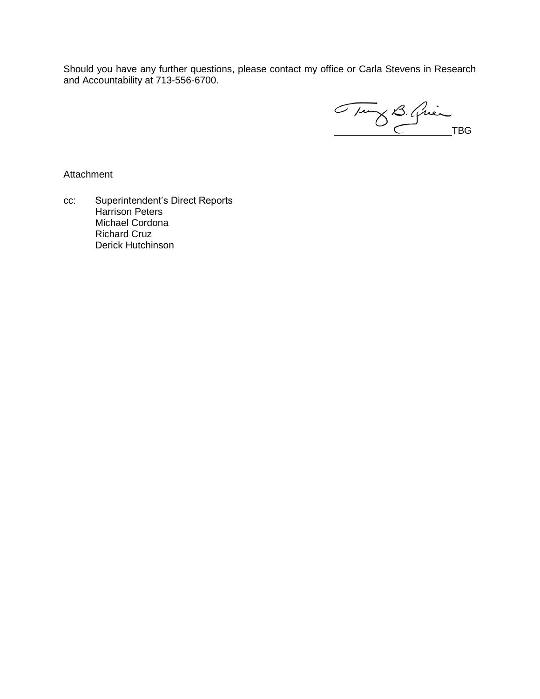Should you have any further questions, please contact my office or Carla Stevens in Research and Accountability at 713-556-6700.

Tung B. Quin

Attachment

cc: Superintendent's Direct Reports Harrison Peters Michael Cordona Richard Cruz Derick Hutchinson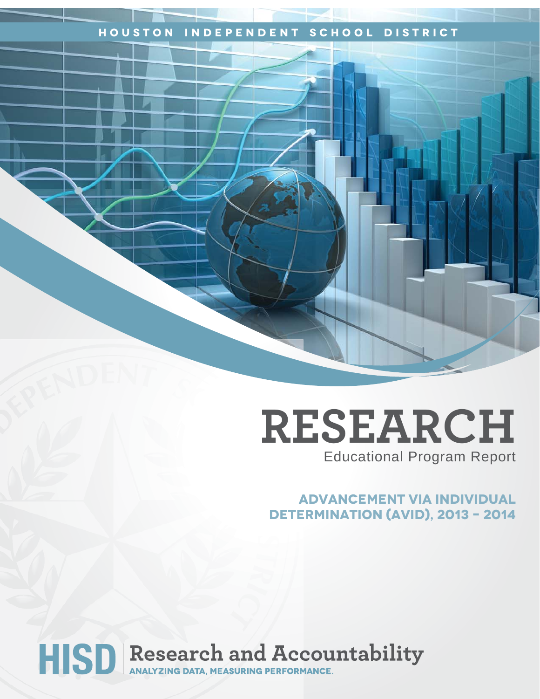### **Houston Independent School District**

## **RESEARCH** Educational Program Report

## **advancement via INdividual Determination (avid), 2013 – 2014**

# HISD Research and Accountability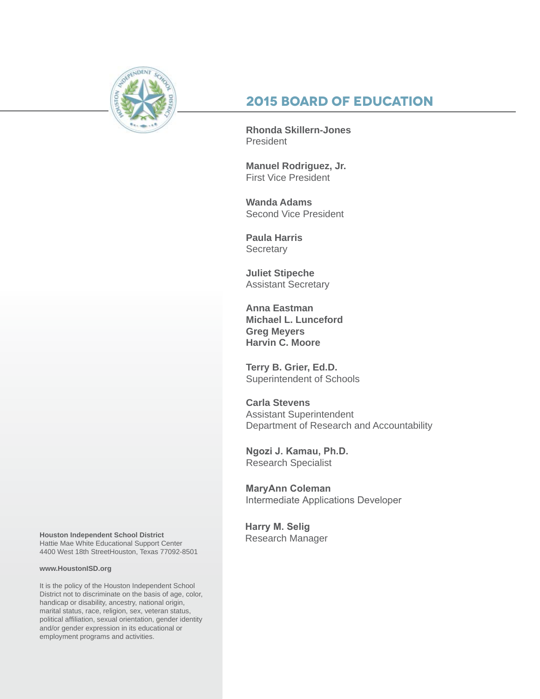

## **2015 Board of Education**

**Rhonda Skillern-Jones** President

**Manuel Rodriguez, Jr.** First Vice President

**Wanda Adams** Second Vice President

**Paula Harris Secretary** 

**Juliet Stipeche** Assistant Secretary

**Anna Eastman Michael L. Lunceford Greg Meyers Harvin C. Moore**

**Terry B. Grier, Ed.D.** Superintendent of Schools

**Carla Stevens** Assistant Superintendent Department of Research and Accountability

**Ngozi J. Kamau, Ph.D.** Research Specialist

**MaryAnn Coleman** Intermediate Applications Developer

**Harry M. Selig** Research Manager

**Houston Independent School District** Hattie Mae White Educational Support Center 4400 West 18th StreetHouston, Texas 77092-8501

#### **www.HoustonISD.org**

It is the policy of the Houston Independent School District not to discriminate on the basis of age, color, handicap or disability, ancestry, national origin, marital status, race, religion, sex, veteran status, political affiliation, sexual orientation, gender identity and/or gender expression in its educational or employment programs and activities.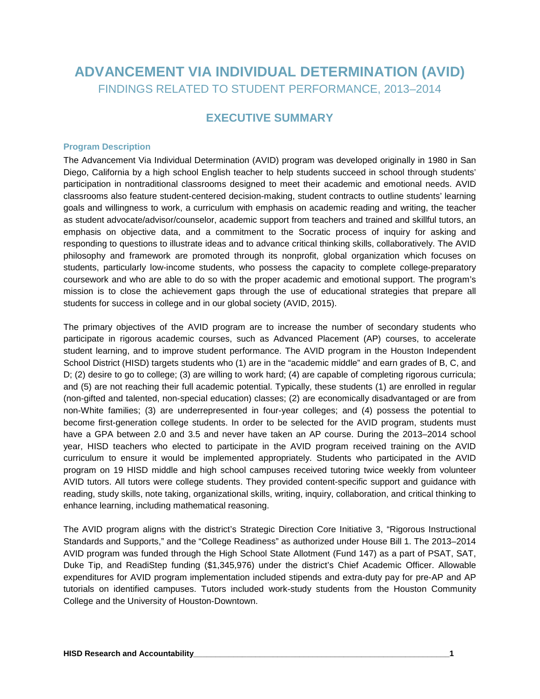## **ADVANCEMENT VIA INDIVIDUAL DETERMINATION (AVID)** FINDINGS RELATED TO STUDENT PERFORMANCE, 2013–2014

#### **EXECUTIVE SUMMARY**

#### **Program Description**

The Advancement Via Individual Determination (AVID) program was developed originally in 1980 in San Diego, California by a high school English teacher to help students succeed in school through students' participation in nontraditional classrooms designed to meet their academic and emotional needs. AVID classrooms also feature student-centered decision-making, student contracts to outline students' learning goals and willingness to work, a curriculum with emphasis on academic reading and writing, the teacher as student advocate/advisor/counselor, academic support from teachers and trained and skillful tutors, an emphasis on objective data, and a commitment to the Socratic process of inquiry for asking and responding to questions to illustrate ideas and to advance critical thinking skills, collaboratively. The AVID philosophy and framework are promoted through its nonprofit, global organization which focuses on students, particularly low-income students, who possess the capacity to complete college-preparatory coursework and who are able to do so with the proper academic and emotional support. The program's mission is to close the achievement gaps through the use of educational strategies that prepare all students for success in college and in our global society (AVID, 2015).

The primary objectives of the AVID program are to increase the number of secondary students who participate in rigorous academic courses, such as Advanced Placement (AP) courses, to accelerate student learning, and to improve student performance. The AVID program in the Houston Independent School District (HISD) targets students who (1) are in the "academic middle" and earn grades of B, C, and D; (2) desire to go to college; (3) are willing to work hard; (4) are capable of completing rigorous curricula; and (5) are not reaching their full academic potential. Typically, these students (1) are enrolled in regular (non-gifted and talented, non-special education) classes; (2) are economically disadvantaged or are from non-White families; (3) are underrepresented in four-year colleges; and (4) possess the potential to become first-generation college students. In order to be selected for the AVID program, students must have a GPA between 2.0 and 3.5 and never have taken an AP course. During the 2013–2014 school year, HISD teachers who elected to participate in the AVID program received training on the AVID curriculum to ensure it would be implemented appropriately. Students who participated in the AVID program on 19 HISD middle and high school campuses received tutoring twice weekly from volunteer AVID tutors. All tutors were college students. They provided content-specific support and guidance with reading, study skills, note taking, organizational skills, writing, inquiry, collaboration, and critical thinking to enhance learning, including mathematical reasoning.

The AVID program aligns with the district's Strategic Direction Core Initiative 3, "Rigorous Instructional Standards and Supports," and the "College Readiness" as authorized under House Bill 1. The 2013–2014 AVID program was funded through the High School State Allotment (Fund 147) as a part of PSAT, SAT, Duke Tip, and ReadiStep funding (\$1,345,976) under the district's Chief Academic Officer. Allowable expenditures for AVID program implementation included stipends and extra-duty pay for pre-AP and AP tutorials on identified campuses. Tutors included work-study students from the Houston Community College and the University of Houston-Downtown.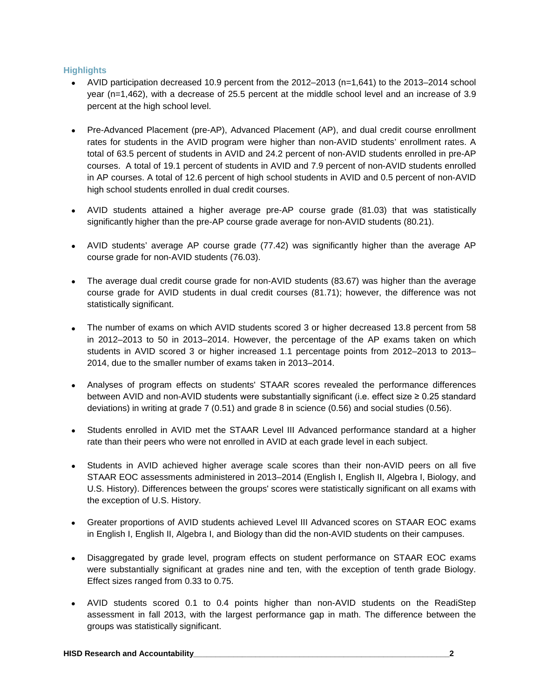#### **Highlights**

- AVID participation decreased 10.9 percent from the 2012–2013 (n=1,641) to the 2013–2014 school year (n=1,462), with a decrease of 25.5 percent at the middle school level and an increase of 3.9 percent at the high school level.
- Pre-Advanced Placement (pre-AP), Advanced Placement (AP), and dual credit course enrollment rates for students in the AVID program were higher than non-AVID students' enrollment rates. A total of 63.5 percent of students in AVID and 24.2 percent of non-AVID students enrolled in pre-AP courses. A total of 19.1 percent of students in AVID and 7.9 percent of non-AVID students enrolled in AP courses. A total of 12.6 percent of high school students in AVID and 0.5 percent of non-AVID high school students enrolled in dual credit courses.
- AVID students attained a higher average pre-AP course grade (81.03) that was statistically significantly higher than the pre-AP course grade average for non-AVID students (80.21).
- AVID students' average AP course grade (77.42) was significantly higher than the average AP course grade for non-AVID students (76.03).
- The average dual credit course grade for non-AVID students (83.67) was higher than the average course grade for AVID students in dual credit courses (81.71); however, the difference was not statistically significant.
- The number of exams on which AVID students scored 3 or higher decreased 13.8 percent from 58 in 2012–2013 to 50 in 2013–2014. However, the percentage of the AP exams taken on which students in AVID scored 3 or higher increased 1.1 percentage points from 2012–2013 to 2013– 2014, due to the smaller number of exams taken in 2013–2014.
- Analyses of program effects on students' STAAR scores revealed the performance differences between AVID and non-AVID students were substantially significant (i.e. effect size ≥ 0.25 standard deviations) in writing at grade 7 (0.51) and grade 8 in science (0.56) and social studies (0.56).
- Students enrolled in AVID met the STAAR Level III Advanced performance standard at a higher rate than their peers who were not enrolled in AVID at each grade level in each subject.
- Students in AVID achieved higher average scale scores than their non-AVID peers on all five STAAR EOC assessments administered in 2013–2014 (English I, English II, Algebra I, Biology, and U.S. History). Differences between the groups' scores were statistically significant on all exams with the exception of U.S. History.
- Greater proportions of AVID students achieved Level III Advanced scores on STAAR EOC exams in English I, English II, Algebra I, and Biology than did the non-AVID students on their campuses.
- Disaggregated by grade level, program effects on student performance on STAAR EOC exams were substantially significant at grades nine and ten, with the exception of tenth grade Biology. Effect sizes ranged from 0.33 to 0.75.
- AVID students scored 0.1 to 0.4 points higher than non-AVID students on the ReadiStep assessment in fall 2013, with the largest performance gap in math. The difference between the groups was statistically significant.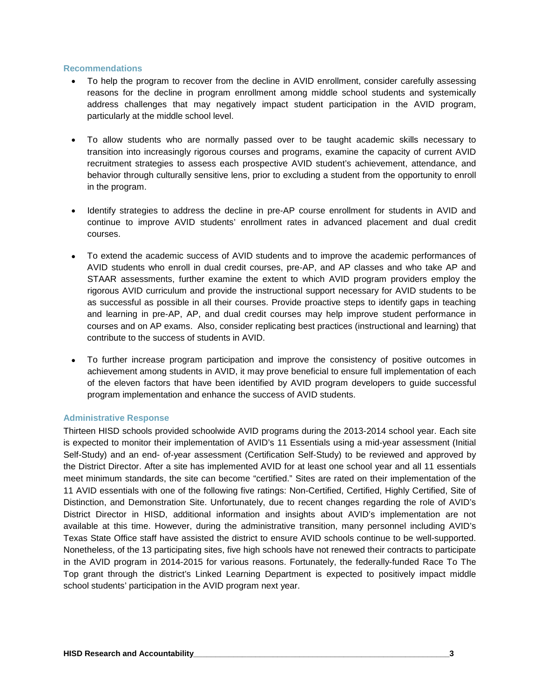#### **Recommendations**

- To help the program to recover from the decline in AVID enrollment, consider carefully assessing reasons for the decline in program enrollment among middle school students and systemically address challenges that may negatively impact student participation in the AVID program, particularly at the middle school level.
- To allow students who are normally passed over to be taught academic skills necessary to transition into increasingly rigorous courses and programs, examine the capacity of current AVID recruitment strategies to assess each prospective AVID student's achievement, attendance, and behavior through culturally sensitive lens, prior to excluding a student from the opportunity to enroll in the program.
- Identify strategies to address the decline in pre-AP course enrollment for students in AVID and continue to improve AVID students' enrollment rates in advanced placement and dual credit courses.
- To extend the academic success of AVID students and to improve the academic performances of AVID students who enroll in dual credit courses, pre-AP, and AP classes and who take AP and STAAR assessments, further examine the extent to which AVID program providers employ the rigorous AVID curriculum and provide the instructional support necessary for AVID students to be as successful as possible in all their courses. Provide proactive steps to identify gaps in teaching and learning in pre-AP, AP, and dual credit courses may help improve student performance in courses and on AP exams. Also, consider replicating best practices (instructional and learning) that contribute to the success of students in AVID.
- To further increase program participation and improve the consistency of positive outcomes in achievement among students in AVID, it may prove beneficial to ensure full implementation of each of the eleven factors that have been identified by AVID program developers to guide successful program implementation and enhance the success of AVID students.

#### **Administrative Response**

Thirteen HISD schools provided schoolwide AVID programs during the 2013-2014 school year. Each site is expected to monitor their implementation of AVID's 11 Essentials using a mid-year assessment (Initial Self-Study) and an end- of-year assessment (Certification Self-Study) to be reviewed and approved by the District Director. After a site has implemented AVID for at least one school year and all 11 essentials meet minimum standards, the site can become "certified." Sites are rated on their implementation of the 11 AVID essentials with one of the following five ratings: Non-Certified, Certified, Highly Certified, Site of Distinction, and Demonstration Site. Unfortunately, due to recent changes regarding the role of AVID's District Director in HISD, additional information and insights about AVID's implementation are not available at this time. However, during the administrative transition, many personnel including AVID's Texas State Office staff have assisted the district to ensure AVID schools continue to be well-supported. Nonetheless, of the 13 participating sites, five high schools have not renewed their contracts to participate in the AVID program in 2014-2015 for various reasons. Fortunately, the federally-funded Race To The Top grant through the district's Linked Learning Department is expected to positively impact middle school students' participation in the AVID program next year.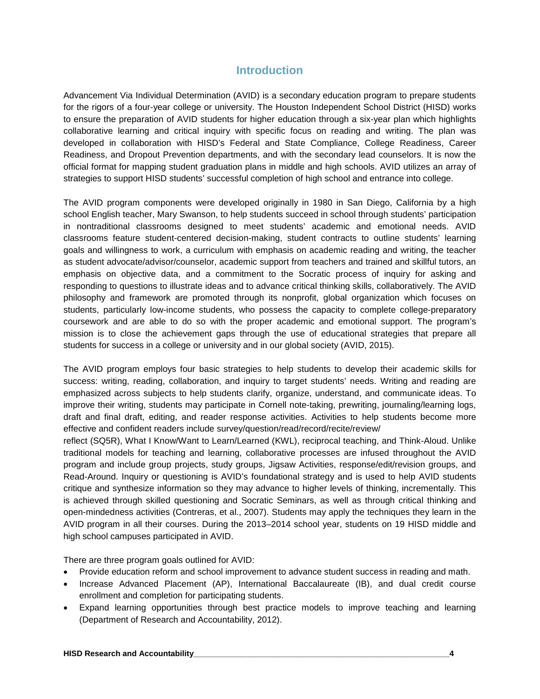#### **Introduction**

Advancement Via Individual Determination (AVID) is a secondary education program to prepare students for the rigors of a four-year college or university. The Houston Independent School District (HISD) works to ensure the preparation of AVID students for higher education through a six-year plan which highlights collaborative learning and critical inquiry with specific focus on reading and writing. The plan was developed in collaboration with HISD's Federal and State Compliance, College Readiness, Career Readiness, and Dropout Prevention departments, and with the secondary lead counselors. It is now the official format for mapping student graduation plans in middle and high schools. AVID utilizes an array of strategies to support HISD students' successful completion of high school and entrance into college.

The AVID program components were developed originally in 1980 in San Diego, California by a high school English teacher, Mary Swanson, to help students succeed in school through students' participation in nontraditional classrooms designed to meet students' academic and emotional needs. AVID classrooms feature student-centered decision-making, student contracts to outline students' learning goals and willingness to work, a curriculum with emphasis on academic reading and writing, the teacher as student advocate/advisor/counselor, academic support from teachers and trained and skillful tutors, an emphasis on objective data, and a commitment to the Socratic process of inquiry for asking and responding to questions to illustrate ideas and to advance critical thinking skills, collaboratively. The AVID philosophy and framework are promoted through its nonprofit, global organization which focuses on students, particularly low-income students, who possess the capacity to complete college-preparatory coursework and are able to do so with the proper academic and emotional support. The program's mission is to close the achievement gaps through the use of educational strategies that prepare all students for success in a college or university and in our global society (AVID, 2015).

The AVID program employs four basic strategies to help students to develop their academic skills for success: writing, reading, collaboration, and inquiry to target students' needs. Writing and reading are emphasized across subjects to help students clarify, organize, understand, and communicate ideas. To improve their writing, students may participate in Cornell note-taking, prewriting, journaling/learning logs, draft and final draft, editing, and reader response activities. Activities to help students become more effective and confident readers include survey/question/read/record/recite/review/

reflect (SQ5R), What I Know/Want to Learn/Learned (KWL), reciprocal teaching, and Think-Aloud. Unlike traditional models for teaching and learning, collaborative processes are infused throughout the AVID program and include group projects, study groups, Jigsaw Activities, response/edit/revision groups, and Read-Around. Inquiry or questioning is AVID's foundational strategy and is used to help AVID students critique and synthesize information so they may advance to higher levels of thinking, incrementally. This is achieved through skilled questioning and Socratic Seminars, as well as through critical thinking and open-mindedness activities (Contreras, et al., 2007). Students may apply the techniques they learn in the AVID program in all their courses. During the 2013–2014 school year, students on 19 HISD middle and high school campuses participated in AVID.

There are three program goals outlined for AVID:

- Provide education reform and school improvement to advance student success in reading and math.
- Increase Advanced Placement (AP), International Baccalaureate (IB), and dual credit course enrollment and completion for participating students.
- Expand learning opportunities through best practice models to improve teaching and learning (Department of Research and Accountability, 2012).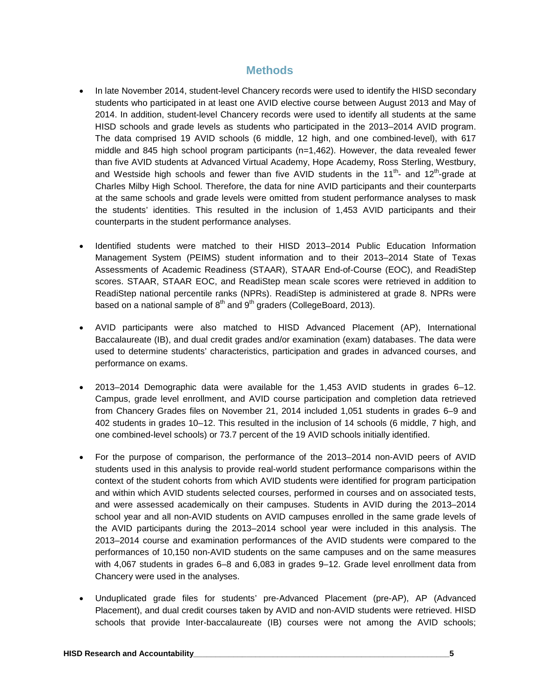#### **Methods**

- In late November 2014, student-level Chancery records were used to identify the HISD secondary students who participated in at least one AVID elective course between August 2013 and May of 2014. In addition, student-level Chancery records were used to identify all students at the same HISD schools and grade levels as students who participated in the 2013–2014 AVID program. The data comprised 19 AVID schools (6 middle, 12 high, and one combined-level), with 617 middle and 845 high school program participants (n=1,462). However, the data revealed fewer than five AVID students at Advanced Virtual Academy, Hope Academy, Ross Sterling, Westbury, and Westside high schools and fewer than five AVID students in the 11<sup>th</sup>- and 12<sup>th</sup>-grade at Charles Milby High School. Therefore, the data for nine AVID participants and their counterparts at the same schools and grade levels were omitted from student performance analyses to mask the students' identities. This resulted in the inclusion of 1,453 AVID participants and their counterparts in the student performance analyses.
- Identified students were matched to their HISD 2013–2014 Public Education Information Management System (PEIMS) student information and to their 2013–2014 State of Texas Assessments of Academic Readiness (STAAR), STAAR End-of-Course (EOC), and ReadiStep scores. STAAR, STAAR EOC, and ReadiStep mean scale scores were retrieved in addition to ReadiStep national percentile ranks (NPRs). ReadiStep is administered at grade 8. NPRs were based on a national sample of  $8<sup>th</sup>$  and  $9<sup>th</sup>$  graders (CollegeBoard, 2013).
- AVID participants were also matched to HISD Advanced Placement (AP), International Baccalaureate (IB), and dual credit grades and/or examination (exam) databases. The data were used to determine students' characteristics, participation and grades in advanced courses, and performance on exams.
- 2013–2014 Demographic data were available for the 1,453 AVID students in grades 6–12. Campus, grade level enrollment, and AVID course participation and completion data retrieved from Chancery Grades files on November 21, 2014 included 1,051 students in grades 6–9 and 402 students in grades 10–12. This resulted in the inclusion of 14 schools (6 middle, 7 high, and one combined-level schools) or 73.7 percent of the 19 AVID schools initially identified.
- For the purpose of comparison, the performance of the 2013–2014 non-AVID peers of AVID students used in this analysis to provide real-world student performance comparisons within the context of the student cohorts from which AVID students were identified for program participation and within which AVID students selected courses, performed in courses and on associated tests, and were assessed academically on their campuses. Students in AVID during the 2013–2014 school year and all non-AVID students on AVID campuses enrolled in the same grade levels of the AVID participants during the 2013–2014 school year were included in this analysis. The 2013–2014 course and examination performances of the AVID students were compared to the performances of 10,150 non-AVID students on the same campuses and on the same measures with 4,067 students in grades 6–8 and 6,083 in grades 9–12. Grade level enrollment data from Chancery were used in the analyses.
- Unduplicated grade files for students' pre-Advanced Placement (pre-AP), AP (Advanced Placement), and dual credit courses taken by AVID and non-AVID students were retrieved. HISD schools that provide Inter-baccalaureate (IB) courses were not among the AVID schools;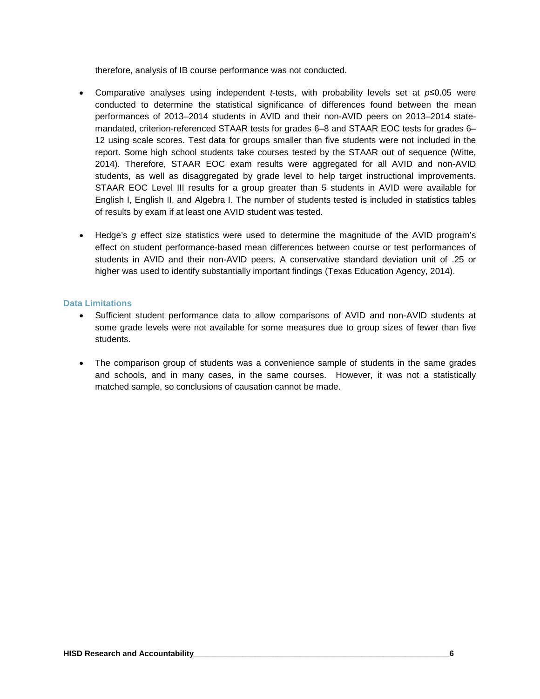therefore, analysis of IB course performance was not conducted.

- Comparative analyses using independent *t*-tests, with probability levels set at *p*≤0.05 were conducted to determine the statistical significance of differences found between the mean performances of 2013–2014 students in AVID and their non-AVID peers on 2013–2014 statemandated, criterion-referenced STAAR tests for grades 6–8 and STAAR EOC tests for grades 6– 12 using scale scores. Test data for groups smaller than five students were not included in the report. Some high school students take courses tested by the STAAR out of sequence (Witte, 2014). Therefore, STAAR EOC exam results were aggregated for all AVID and non-AVID students, as well as disaggregated by grade level to help target instructional improvements. STAAR EOC Level III results for a group greater than 5 students in AVID were available for English I, English II, and Algebra I. The number of students tested is included in statistics tables of results by exam if at least one AVID student was tested.
- Hedge's *g* effect size statistics were used to determine the magnitude of the AVID program's effect on student performance-based mean differences between course or test performances of students in AVID and their non-AVID peers. A conservative standard deviation unit of .25 or higher was used to identify substantially important findings (Texas Education Agency, 2014).

#### **Data Limitations**

- Sufficient student performance data to allow comparisons of AVID and non-AVID students at some grade levels were not available for some measures due to group sizes of fewer than five students.
- The comparison group of students was a convenience sample of students in the same grades and schools, and in many cases, in the same courses. However, it was not a statistically matched sample, so conclusions of causation cannot be made.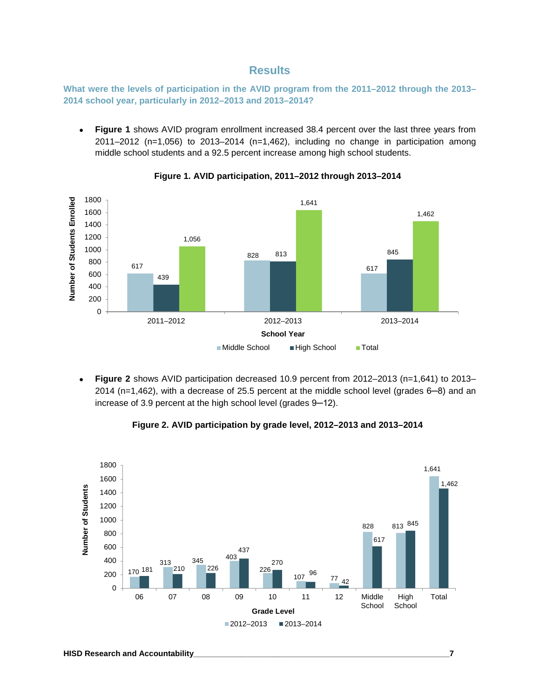#### **Results**

**What were the levels of participation in the AVID program from the 2011–2012 through the 2013– 2014 school year, particularly in 2012–2013 and 2013–2014?**

• **Figure 1** shows AVID program enrollment increased 38.4 percent over the last three years from 2011–2012 (n=1,056) to 2013–2014 (n=1,462), including no change in participation among middle school students and a 92.5 percent increase among high school students.



**Figure 1. AVID participation, 2011–2012 through 2013–2014**

• **Figure 2** shows AVID participation decreased 10.9 percent from 2012–2013 (n=1,641) to 2013– 2014 (n=1,462), with a decrease of 25.5 percent at the middle school level (grades 6─8) and an increase of 3.9 percent at the high school level (grades 9─12).

**Figure 2. AVID participation by grade level, 2012–2013 and 2013–2014**

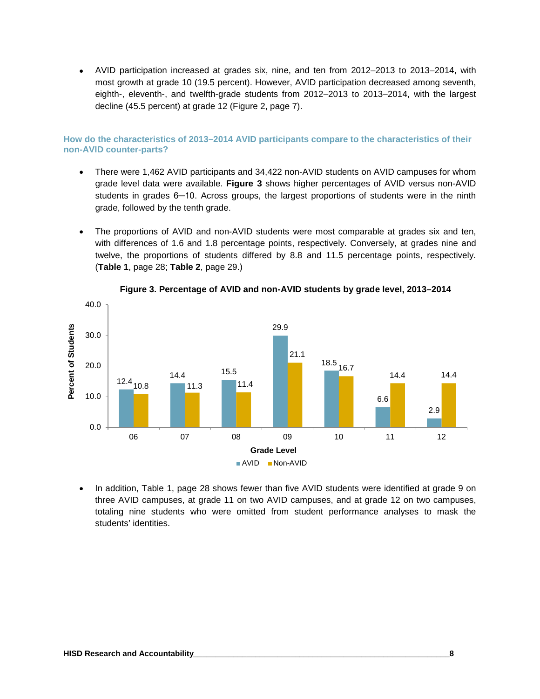• AVID participation increased at grades six, nine, and ten from 2012–2013 to 2013–2014, with most growth at grade 10 (19.5 percent). However, AVID participation decreased among seventh, eighth-, eleventh-, and twelfth-grade students from 2012–2013 to 2013–2014, with the largest decline (45.5 percent) at grade 12 (Figure 2, page 7).

#### **How do the characteristics of 2013–2014 AVID participants compare to the characteristics of their non-AVID counter-parts?**

- There were 1,462 AVID participants and 34,422 non-AVID students on AVID campuses for whom grade level data were available. **Figure 3** shows higher percentages of AVID versus non-AVID students in grades 6-10. Across groups, the largest proportions of students were in the ninth grade, followed by the tenth grade.
- The proportions of AVID and non-AVID students were most comparable at grades six and ten, with differences of 1.6 and 1.8 percentage points, respectively. Conversely, at grades nine and twelve, the proportions of students differed by 8.8 and 11.5 percentage points, respectively. (**Table 1**, page 28; **Table 2**, page 29.)



**Figure 3. Percentage of AVID and non-AVID students by grade level, 2013–2014**

• In addition, Table 1, page 28 shows fewer than five AVID students were identified at grade 9 on three AVID campuses, at grade 11 on two AVID campuses, and at grade 12 on two campuses, totaling nine students who were omitted from student performance analyses to mask the students' identities.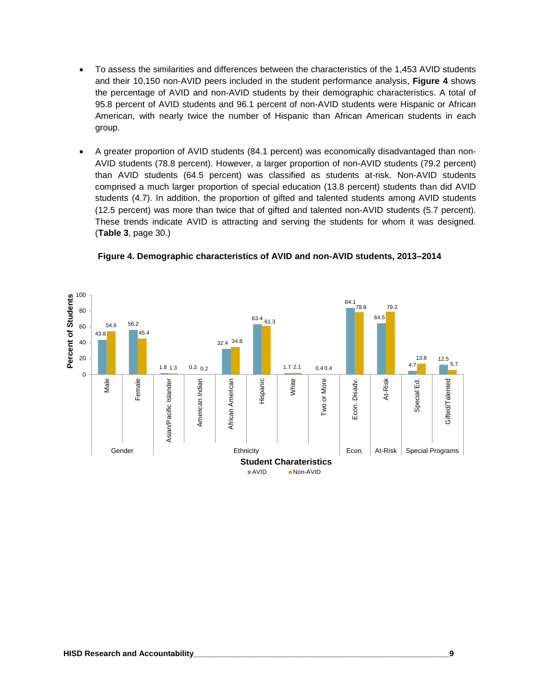- To assess the similarities and differences between the characteristics of the 1,453 AVID students and their 10,150 non-AVID peers included in the student performance analysis, **Figure 4** shows the percentage of AVID and non-AVID students by their demographic characteristics. A total of 95.8 percent of AVID students and 96.1 percent of non-AVID students were Hispanic or African American, with nearly twice the number of Hispanic than African American students in each group.
- A greater proportion of AVID students (84.1 percent) was economically disadvantaged than non-AVID students (78.8 percent). However, a larger proportion of non-AVID students (79.2 percent) than AVID students (64.5 percent) was classified as students at-risk. Non-AVID students comprised a much larger proportion of special education (13.8 percent) students than did AVID students (4.7). In addition, the proportion of gifted and talented students among AVID students (12.5 percent) was more than twice that of gifted and talented non-AVID students (5.7 percent). These trends indicate AVID is attracting and serving the students for whom it was designed. (**Table 3**, page 30.)



**Figure 4. Demographic characteristics of AVID and non-AVID students, 2013–2014**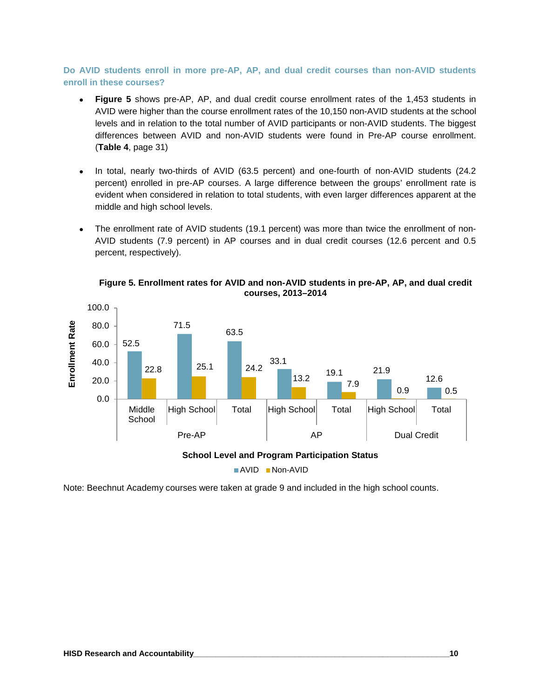**Do AVID students enroll in more pre-AP, AP, and dual credit courses than non-AVID students enroll in these courses?**

- **Figure 5** shows pre-AP, AP, and dual credit course enrollment rates of the 1,453 students in AVID were higher than the course enrollment rates of the 10,150 non-AVID students at the school levels and in relation to the total number of AVID participants or non-AVID students. The biggest differences between AVID and non-AVID students were found in Pre-AP course enrollment. (**Table 4**, page 31)
- In total, nearly two-thirds of AVID (63.5 percent) and one-fourth of non-AVID students (24.2 percent) enrolled in pre-AP courses. A large difference between the groups' enrollment rate is evident when considered in relation to total students, with even larger differences apparent at the middle and high school levels.
- The enrollment rate of AVID students (19.1 percent) was more than twice the enrollment of non-AVID students (7.9 percent) in AP courses and in dual credit courses (12.6 percent and 0.5 percent, respectively).



**Figure 5. Enrollment rates for AVID and non-AVID students in pre-AP, AP, and dual credit courses, 2013–2014**

Note: Beechnut Academy courses were taken at grade 9 and included in the high school counts.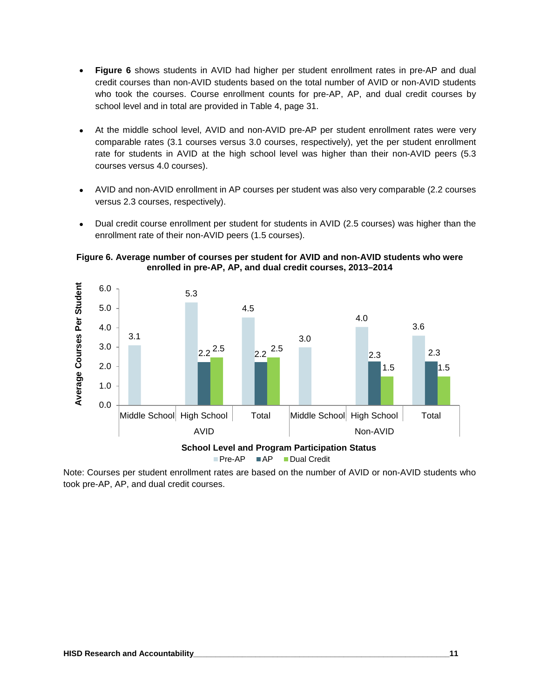- **Figure 6** shows students in AVID had higher per student enrollment rates in pre-AP and dual credit courses than non-AVID students based on the total number of AVID or non-AVID students who took the courses. Course enrollment counts for pre-AP, AP, and dual credit courses by school level and in total are provided in Table 4, page 31.
- At the middle school level, AVID and non-AVID pre-AP per student enrollment rates were very comparable rates (3.1 courses versus 3.0 courses, respectively), yet the per student enrollment rate for students in AVID at the high school level was higher than their non-AVID peers (5.3 courses versus 4.0 courses).
- AVID and non-AVID enrollment in AP courses per student was also very comparable (2.2 courses versus 2.3 courses, respectively).
- Dual credit course enrollment per student for students in AVID (2.5 courses) was higher than the enrollment rate of their non-AVID peers (1.5 courses).

**Figure 6. Average number of courses per student for AVID and non-AVID students who were enrolled in pre-AP, AP, and dual credit courses, 2013–2014**



Note: Courses per student enrollment rates are based on the number of AVID or non-AVID students who took pre-AP, AP, and dual credit courses.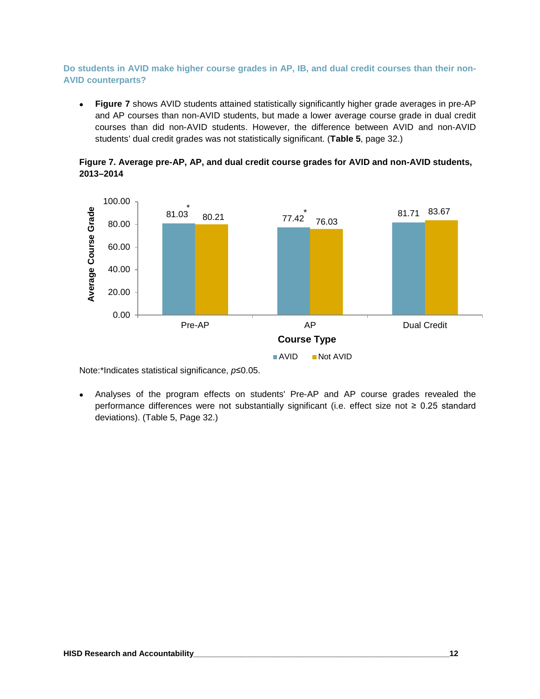#### **Do students in AVID make higher course grades in AP, IB, and dual credit courses than their non-AVID counterparts?**

• **Figure 7** shows AVID students attained statistically significantly higher grade averages in pre-AP and AP courses than non-AVID students, but made a lower average course grade in dual credit courses than did non-AVID students. However, the difference between AVID and non-AVID students' dual credit grades was not statistically significant. (**Table 5**, page 32.)





Note:\*Indicates statistical significance, *p*≤0.05.

• Analyses of the program effects on students' Pre-AP and AP course grades revealed the performance differences were not substantially significant (i.e. effect size not ≥ 0.25 standard deviations). (Table 5, Page 32.)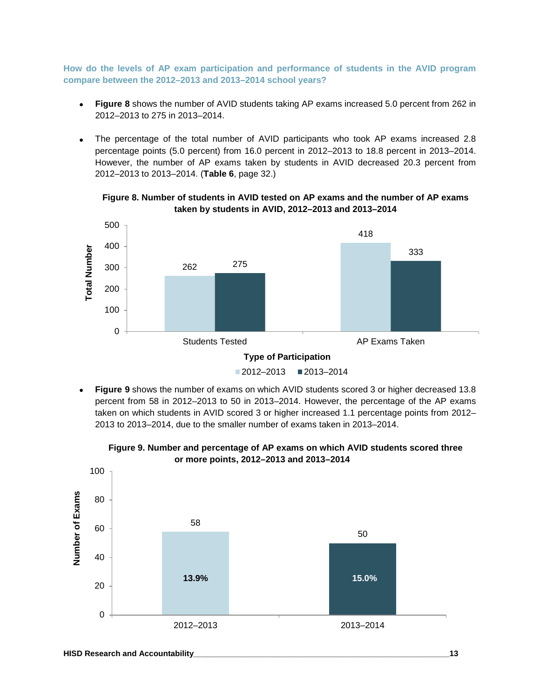**How do the levels of AP exam participation and performance of students in the AVID program compare between the 2012–2013 and 2013–2014 school years?**

- **Figure 8** shows the number of AVID students taking AP exams increased 5.0 percent from 262 in 2012–2013 to 275 in 2013–2014.
- The percentage of the total number of AVID participants who took AP exams increased 2.8 percentage points (5.0 percent) from 16.0 percent in 2012–2013 to 18.8 percent in 2013–2014. However, the number of AP exams taken by students in AVID decreased 20.3 percent from 2012–2013 to 2013–2014. (**Table 6**, page 32.)

500 418 400 **Total Number Total Number** 333 275 262 300 200 100 0 Students Tested **AP Exams Taken Type of Participation**  $2012 - 2013$   $2013 - 2014$ 

**Figure 8. Number of students in AVID tested on AP exams and the number of AP exams taken by students in AVID, 2012–2013 and 2013–2014**

• **Figure 9** shows the number of exams on which AVID students scored 3 or higher decreased 13.8 percent from 58 in 2012–2013 to 50 in 2013–2014. However, the percentage of the AP exams taken on which students in AVID scored 3 or higher increased 1.1 percentage points from 2012– 2013 to 2013–2014, due to the smaller number of exams taken in 2013–2014.



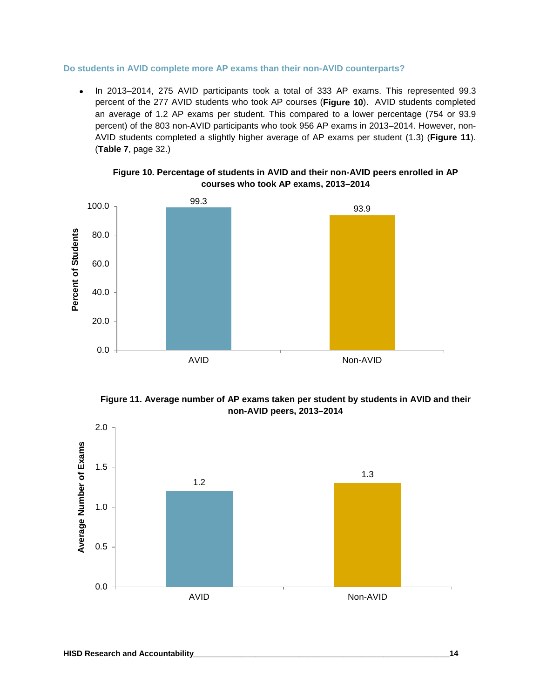#### **Do students in AVID complete more AP exams than their non-AVID counterparts?**

• In 2013–2014, 275 AVID participants took a total of 333 AP exams. This represented 99.3 percent of the 277 AVID students who took AP courses (**Figure 10**). AVID students completed an average of 1.2 AP exams per student. This compared to a lower percentage (754 or 93.9 percent) of the 803 non-AVID participants who took 956 AP exams in 2013–2014. However, non-AVID students completed a slightly higher average of AP exams per student (1.3) (**Figure 11**). (**Table 7**, page 32.)







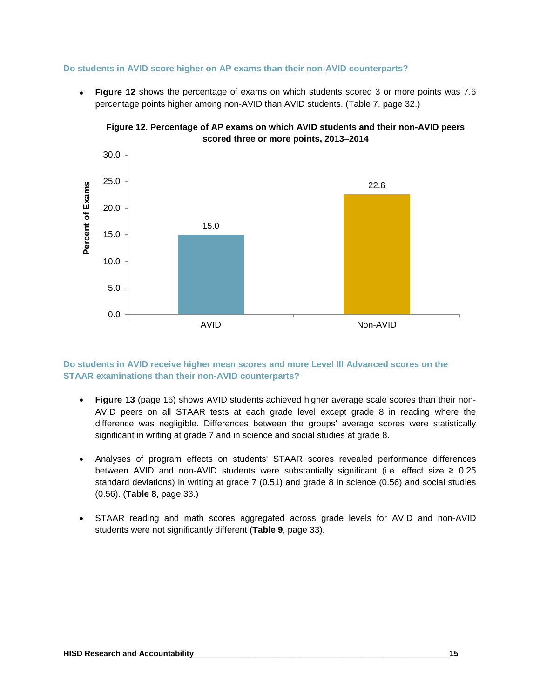#### **Do students in AVID score higher on AP exams than their non-AVID counterparts?**

• **Figure 12** shows the percentage of exams on which students scored 3 or more points was 7.6 percentage points higher among non-AVID than AVID students. (Table 7, page 32.)





#### **Do students in AVID receive higher mean scores and more Level III Advanced scores on the STAAR examinations than their non-AVID counterparts?**

- **Figure 13** (page 16) shows AVID students achieved higher average scale scores than their non-AVID peers on all STAAR tests at each grade level except grade 8 in reading where the difference was negligible. Differences between the groups' average scores were statistically significant in writing at grade 7 and in science and social studies at grade 8.
- Analyses of program effects on students' STAAR scores revealed performance differences between AVID and non-AVID students were substantially significant (i.e. effect size  $\geq 0.25$ standard deviations) in writing at grade 7 (0.51) and grade 8 in science (0.56) and social studies (0.56). (**Table 8**, page 33.)
- STAAR reading and math scores aggregated across grade levels for AVID and non-AVID students were not significantly different (**Table 9**, page 33).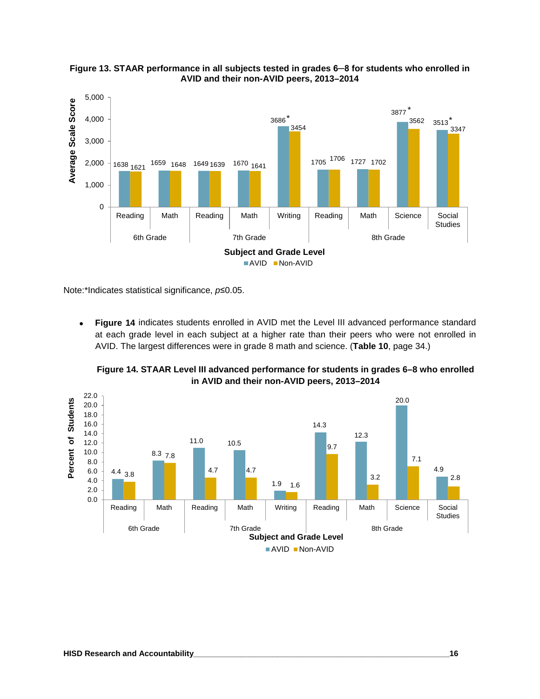



Note:\*Indicates statistical significance, *p*≤0.05.

• **Figure 14** indicates students enrolled in AVID met the Level III advanced performance standard at each grade level in each subject at a higher rate than their peers who were not enrolled in AVID. The largest differences were in grade 8 math and science. (**Table 10**, page 34.)



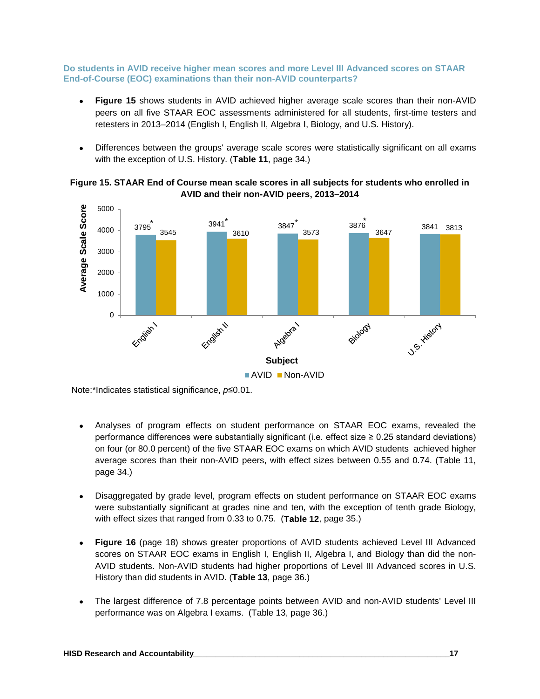**Do students in AVID receive higher mean scores and more Level III Advanced scores on STAAR End-of-Course (EOC) examinations than their non-AVID counterparts?**

- **Figure 15** shows students in AVID achieved higher average scale scores than their non-AVID peers on all five STAAR EOC assessments administered for all students, first-time testers and retesters in 2013–2014 (English I, English II, Algebra I, Biology, and U.S. History).
- Differences between the groups' average scale scores were statistically significant on all exams with the exception of U.S. History. (**Table 11**, page 34.)





Note:\*Indicates statistical significance, *p*≤0.01.

- Analyses of program effects on student performance on STAAR EOC exams, revealed the performance differences were substantially significant (i.e. effect size ≥ 0.25 standard deviations) on four (or 80.0 percent) of the five STAAR EOC exams on which AVID students achieved higher average scores than their non-AVID peers, with effect sizes between 0.55 and 0.74. (Table 11, page 34.)
- Disaggregated by grade level, program effects on student performance on STAAR EOC exams were substantially significant at grades nine and ten, with the exception of tenth grade Biology, with effect sizes that ranged from 0.33 to 0.75. (**Table 12**, page 35.)
- **Figure 16** (page 18) shows greater proportions of AVID students achieved Level III Advanced scores on STAAR EOC exams in English I, English II, Algebra I, and Biology than did the non-AVID students. Non-AVID students had higher proportions of Level III Advanced scores in U.S. History than did students in AVID. (**Table 13**, page 36.)
- The largest difference of 7.8 percentage points between AVID and non-AVID students' Level III performance was on Algebra I exams. (Table 13, page 36.)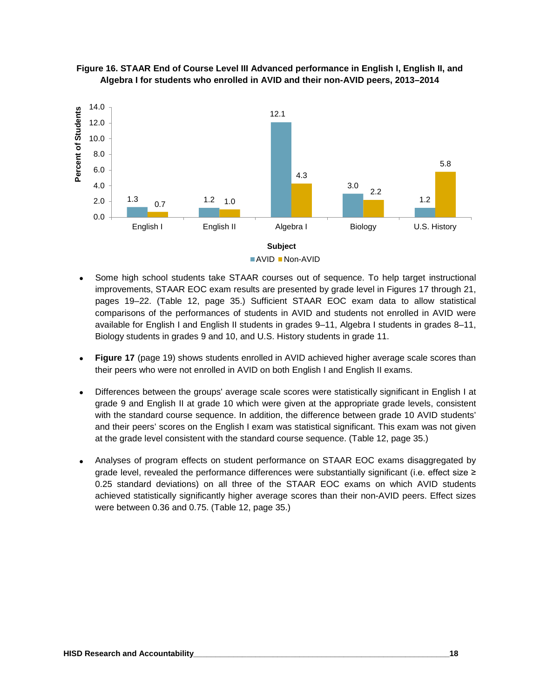



- Some high school students take STAAR courses out of sequence. To help target instructional improvements, STAAR EOC exam results are presented by grade level in Figures 17 through 21, pages 19–22. (Table 12, page 35.) Sufficient STAAR EOC exam data to allow statistical comparisons of the performances of students in AVID and students not enrolled in AVID were available for English I and English II students in grades 9–11, Algebra I students in grades 8–11, Biology students in grades 9 and 10, and U.S. History students in grade 11.
- **Figure 17** (page 19) shows students enrolled in AVID achieved higher average scale scores than their peers who were not enrolled in AVID on both English I and English II exams.
- Differences between the groups' average scale scores were statistically significant in English I at grade 9 and English II at grade 10 which were given at the appropriate grade levels, consistent with the standard course sequence. In addition, the difference between grade 10 AVID students' and their peers' scores on the English I exam was statistical significant. This exam was not given at the grade level consistent with the standard course sequence. (Table 12, page 35.)
- Analyses of program effects on student performance on STAAR EOC exams disaggregated by grade level, revealed the performance differences were substantially significant (i.e. effect size ≥ 0.25 standard deviations) on all three of the STAAR EOC exams on which AVID students achieved statistically significantly higher average scores than their non-AVID peers. Effect sizes were between 0.36 and 0.75. (Table 12, page 35.)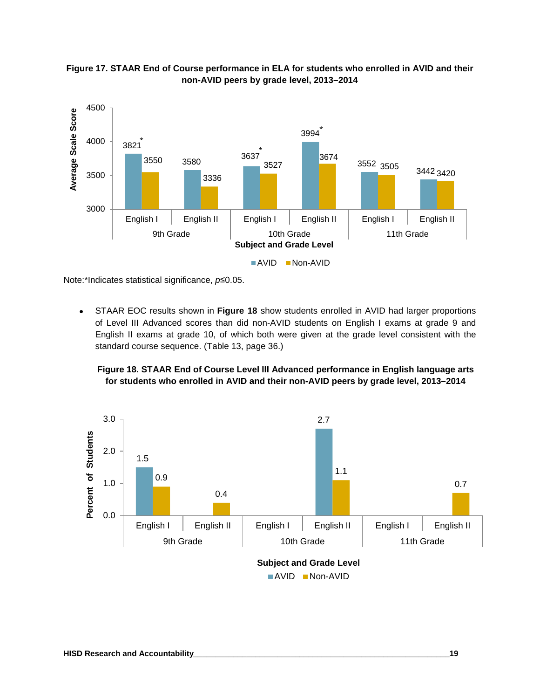



Note:\*Indicates statistical significance, *p*≤0.05.

• STAAR EOC results shown in **Figure 18** show students enrolled in AVID had larger proportions of Level III Advanced scores than did non-AVID students on English I exams at grade 9 and English II exams at grade 10, of which both were given at the grade level consistent with the standard course sequence. (Table 13, page 36.)

**Figure 18. STAAR End of Course Level III Advanced performance in English language arts for students who enrolled in AVID and their non-AVID peers by grade level, 2013–2014**

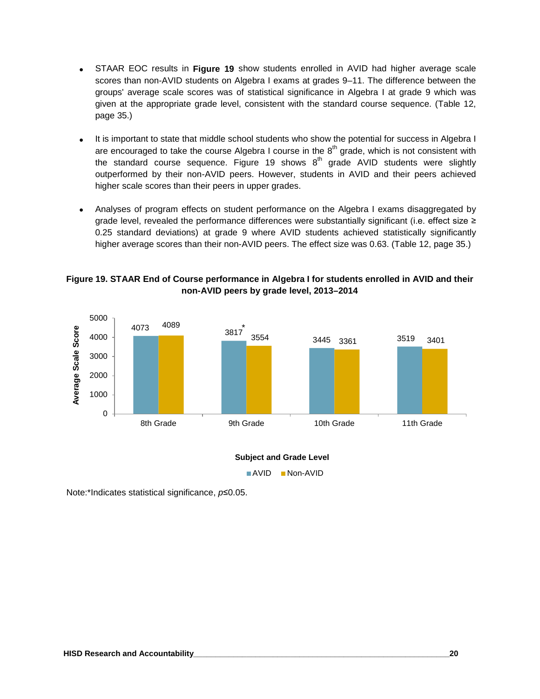- STAAR EOC results in **Figure 19** show students enrolled in AVID had higher average scale scores than non-AVID students on Algebra I exams at grades 9–11. The difference between the groups' average scale scores was of statistical significance in Algebra I at grade 9 which was given at the appropriate grade level, consistent with the standard course sequence. (Table 12, page 35.)
- It is important to state that middle school students who show the potential for success in Algebra I are encouraged to take the course Algebra I course in the  $8<sup>th</sup>$  grade, which is not consistent with the standard course sequence. Figure 19 shows  $8<sup>th</sup>$  grade AVID students were slightly outperformed by their non-AVID peers. However, students in AVID and their peers achieved higher scale scores than their peers in upper grades.
- Analyses of program effects on student performance on the Algebra I exams disaggregated by grade level, revealed the performance differences were substantially significant (i.e. effect size ≥ 0.25 standard deviations) at grade 9 where AVID students achieved statistically significantly higher average scores than their non-AVID peers. The effect size was 0.63. (Table 12, page 35.)

#### **Figure 19. STAAR End of Course performance in Algebra I for students enrolled in AVID and their non-AVID peers by grade level, 2013–2014**



Note:\*Indicates statistical significance, *p*≤0.05.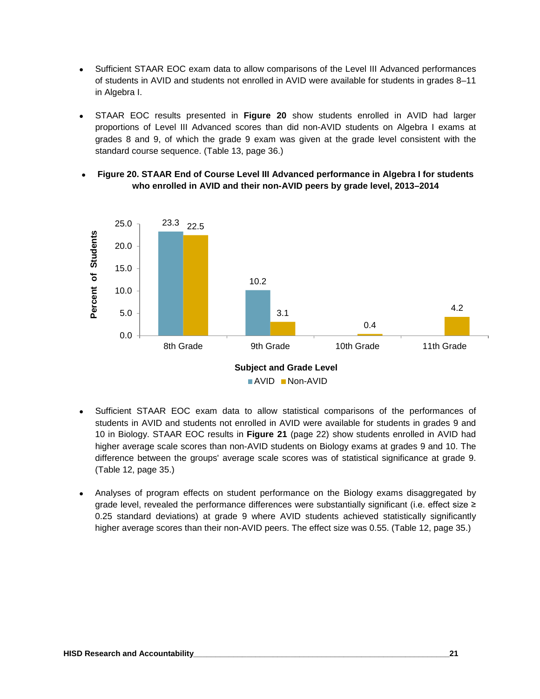- Sufficient STAAR EOC exam data to allow comparisons of the Level III Advanced performances of students in AVID and students not enrolled in AVID were available for students in grades 8–11 in Algebra I.
- STAAR EOC results presented in **Figure 20** show students enrolled in AVID had larger proportions of Level III Advanced scores than did non-AVID students on Algebra I exams at grades 8 and 9, of which the grade 9 exam was given at the grade level consistent with the standard course sequence. (Table 13, page 36.)
- **Figure 20. STAAR End of Course Level III Advanced performance in Algebra I for students who enrolled in AVID and their non-AVID peers by grade level, 2013–2014**



- Sufficient STAAR EOC exam data to allow statistical comparisons of the performances of students in AVID and students not enrolled in AVID were available for students in grades 9 and 10 in Biology. STAAR EOC results in **Figure 21** (page 22) show students enrolled in AVID had higher average scale scores than non-AVID students on Biology exams at grades 9 and 10. The difference between the groups' average scale scores was of statistical significance at grade 9. (Table 12, page 35.)
- Analyses of program effects on student performance on the Biology exams disaggregated by grade level, revealed the performance differences were substantially significant (i.e. effect size ≥ 0.25 standard deviations) at grade 9 where AVID students achieved statistically significantly higher average scores than their non-AVID peers. The effect size was 0.55. (Table 12, page 35.)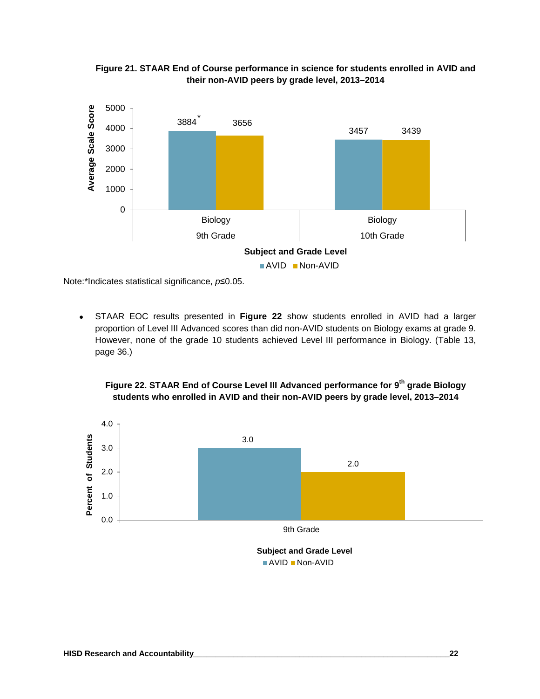

**Figure 21. STAAR End of Course performance in science for students enrolled in AVID and their non-AVID peers by grade level, 2013–2014**

Note:\*Indicates statistical significance, *p*≤0.05.

• STAAR EOC results presented in **Figure 22** show students enrolled in AVID had a larger proportion of Level III Advanced scores than did non-AVID students on Biology exams at grade 9. However, none of the grade 10 students achieved Level III performance in Biology. (Table 13, page 36.)



**Figure 22. STAAR End of Course Level III Advanced performance for 9th grade Biology students who enrolled in AVID and their non-AVID peers by grade level, 2013–2014**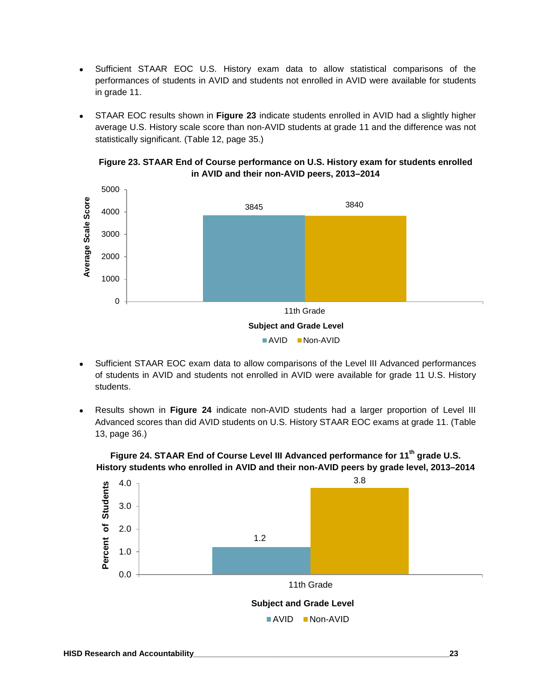- Sufficient STAAR EOC U.S. History exam data to allow statistical comparisons of the performances of students in AVID and students not enrolled in AVID were available for students in grade 11.
- STAAR EOC results shown in **Figure 23** indicate students enrolled in AVID had a slightly higher average U.S. History scale score than non-AVID students at grade 11 and the difference was not statistically significant. (Table 12, page 35.)





- Sufficient STAAR EOC exam data to allow comparisons of the Level III Advanced performances of students in AVID and students not enrolled in AVID were available for grade 11 U.S. History students.
- Results shown in **Figure 24** indicate non-AVID students had a larger proportion of Level III Advanced scores than did AVID students on U.S. History STAAR EOC exams at grade 11. (Table 13, page 36.)



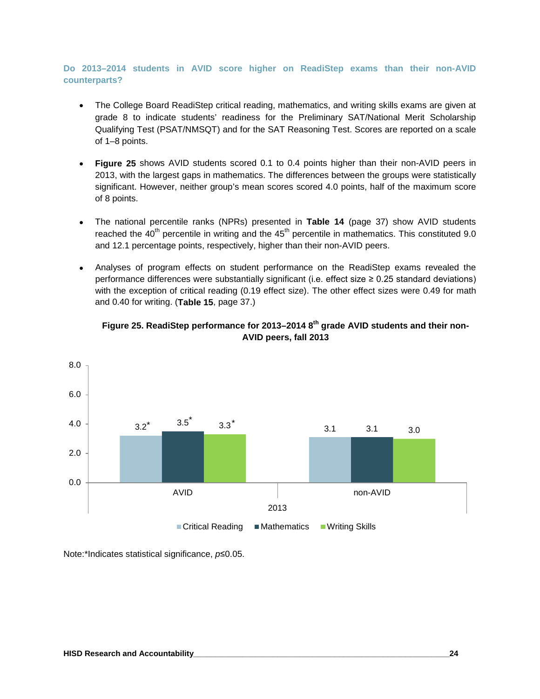#### **Do 2013–2014 students in AVID score higher on ReadiStep exams than their non-AVID counterparts?**

- The College Board ReadiStep critical reading, mathematics, and writing skills exams are given at grade 8 to indicate students' readiness for the Preliminary SAT/National Merit Scholarship Qualifying Test (PSAT/NMSQT) and for the SAT Reasoning Test. Scores are reported on a scale of 1–8 points.
- **Figure 25** shows AVID students scored 0.1 to 0.4 points higher than their non-AVID peers in 2013, with the largest gaps in mathematics. The differences between the groups were statistically significant. However, neither group's mean scores scored 4.0 points, half of the maximum score of 8 points.
- The national percentile ranks (NPRs) presented in **Table 14** (page 37) show AVID students reached the  $40<sup>th</sup>$  percentile in writing and the  $45<sup>th</sup>$  percentile in mathematics. This constituted 9.0 and 12.1 percentage points, respectively, higher than their non-AVID peers.
- Analyses of program effects on student performance on the ReadiStep exams revealed the performance differences were substantially significant (i.e. effect size  $\geq 0.25$  standard deviations) with the exception of critical reading (0.19 effect size). The other effect sizes were 0.49 for math and 0.40 for writing. (**Table 15**, page 37.)



#### **Figure 25. ReadiStep performance for 2013–2014 8th grade AVID students and their non-AVID peers, fall 2013**

Note:\*Indicates statistical significance, *p*≤0.05.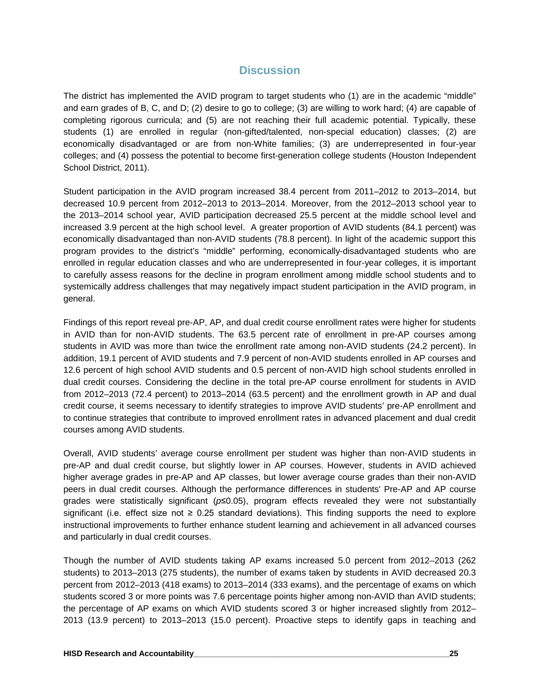#### **Discussion**

The district has implemented the AVID program to target students who (1) are in the academic "middle" and earn grades of B, C, and D; (2) desire to go to college; (3) are willing to work hard; (4) are capable of completing rigorous curricula; and (5) are not reaching their full academic potential. Typically, these students (1) are enrolled in regular (non-gifted/talented, non-special education) classes; (2) are economically disadvantaged or are from non-White families; (3) are underrepresented in four-year colleges; and (4) possess the potential to become first-generation college students (Houston Independent School District, 2011).

Student participation in the AVID program increased 38.4 percent from 2011–2012 to 2013–2014, but decreased 10.9 percent from 2012–2013 to 2013–2014. Moreover, from the 2012–2013 school year to the 2013–2014 school year, AVID participation decreased 25.5 percent at the middle school level and increased 3.9 percent at the high school level. A greater proportion of AVID students (84.1 percent) was economically disadvantaged than non-AVID students (78.8 percent). In light of the academic support this program provides to the district's "middle" performing, economically-disadvantaged students who are enrolled in regular education classes and who are underrepresented in four-year colleges, it is important to carefully assess reasons for the decline in program enrollment among middle school students and to systemically address challenges that may negatively impact student participation in the AVID program, in general.

Findings of this report reveal pre-AP, AP, and dual credit course enrollment rates were higher for students in AVID than for non-AVID students. The 63.5 percent rate of enrollment in pre-AP courses among students in AVID was more than twice the enrollment rate among non-AVID students (24.2 percent). In addition, 19.1 percent of AVID students and 7.9 percent of non-AVID students enrolled in AP courses and 12.6 percent of high school AVID students and 0.5 percent of non-AVID high school students enrolled in dual credit courses. Considering the decline in the total pre-AP course enrollment for students in AVID from 2012–2013 (72.4 percent) to 2013–2014 (63.5 percent) and the enrollment growth in AP and dual credit course, it seems necessary to identify strategies to improve AVID students' pre-AP enrollment and to continue strategies that contribute to improved enrollment rates in advanced placement and dual credit courses among AVID students.

Overall, AVID students' average course enrollment per student was higher than non-AVID students in pre-AP and dual credit course, but slightly lower in AP courses. However, students in AVID achieved higher average grades in pre-AP and AP classes, but lower average course grades than their non-AVID peers in dual credit courses. Although the performance differences in students' Pre-AP and AP course grades were statistically significant (*p*≤0.05), program effects revealed they were not substantially significant (i.e. effect size not ≥ 0.25 standard deviations). This finding supports the need to explore instructional improvements to further enhance student learning and achievement in all advanced courses and particularly in dual credit courses.

Though the number of AVID students taking AP exams increased 5.0 percent from 2012–2013 (262 students) to 2013–2013 (275 students), the number of exams taken by students in AVID decreased 20.3 percent from 2012–2013 (418 exams) to 2013–2014 (333 exams), and the percentage of exams on which students scored 3 or more points was 7.6 percentage points higher among non-AVID than AVID students; the percentage of AP exams on which AVID students scored 3 or higher increased slightly from 2012– 2013 (13.9 percent) to 2013–2013 (15.0 percent). Proactive steps to identify gaps in teaching and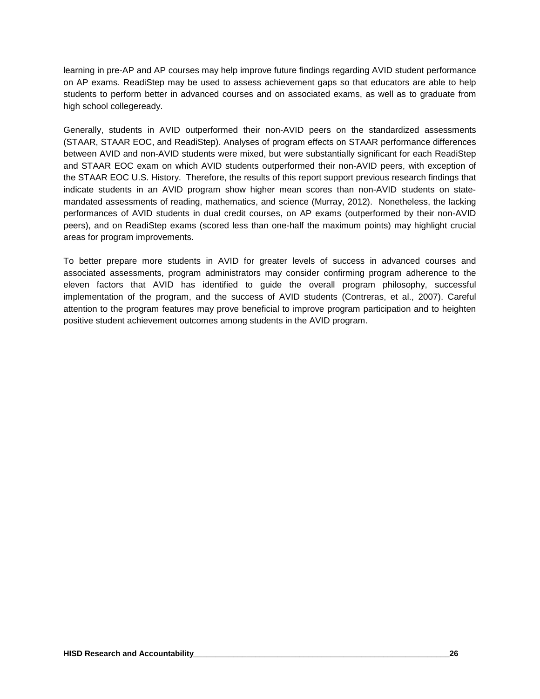learning in pre-AP and AP courses may help improve future findings regarding AVID student performance on AP exams. ReadiStep may be used to assess achievement gaps so that educators are able to help students to perform better in advanced courses and on associated exams, as well as to graduate from high school collegeready.

Generally, students in AVID outperformed their non-AVID peers on the standardized assessments (STAAR, STAAR EOC, and ReadiStep). Analyses of program effects on STAAR performance differences between AVID and non-AVID students were mixed, but were substantially significant for each ReadiStep and STAAR EOC exam on which AVID students outperformed their non-AVID peers, with exception of the STAAR EOC U.S. History. Therefore, the results of this report support previous research findings that indicate students in an AVID program show higher mean scores than non-AVID students on statemandated assessments of reading, mathematics, and science (Murray, 2012). Nonetheless, the lacking performances of AVID students in dual credit courses, on AP exams (outperformed by their non-AVID peers), and on ReadiStep exams (scored less than one-half the maximum points) may highlight crucial areas for program improvements.

To better prepare more students in AVID for greater levels of success in advanced courses and associated assessments, program administrators may consider confirming program adherence to the eleven factors that AVID has identified to guide the overall program philosophy, successful implementation of the program, and the success of AVID students (Contreras, et al., 2007). Careful attention to the program features may prove beneficial to improve program participation and to heighten positive student achievement outcomes among students in the AVID program.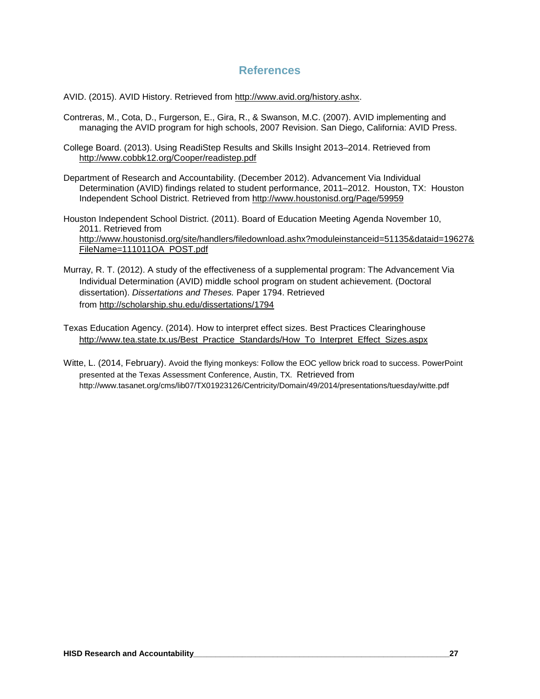#### **References**

AVID. (2015). AVID History. Retrieved from http://www.avid.org/history.ashx.

- Contreras, M., Cota, D., Furgerson, E., Gira, R., & Swanson, M.C. (2007). AVID implementing and managing the AVID program for high schools, 2007 Revision. San Diego, California: AVID Press.
- College Board. (2013). Using ReadiStep Results and Skills Insight 2013–2014. Retrieved from <http://www.cobbk12.org/Cooper/readistep.pdf>
- Department of Research and Accountability. (December 2012). Advancement Via Individual Determination (AVID) findings related to student performance, 2011–2012. Houston, TX: Houston Independent School District. Retrieved from <http://www.houstonisd.org/Page/59959>

Houston Independent School District. (2011). Board of Education Meeting Agenda November 10, 2011. Retrieved from http://www.houstonisd.org/site/handlers/filedownload.ashx?moduleinstanceid=51135&dataid=19627& FileName=111011OA\_POST.pdf

- Murray, R. T. (2012). A study of the effectiveness of a supplemental program: The Advancement Via Individual Determination (AVID) middle school program on student achievement. (Doctoral dissertation). *Dissertations and Theses.* Paper 1794. Retrieved from http://scholarship.shu.edu/dissertations/1794
- Texas Education Agency. (2014). How to interpret effect sizes. Best Practices Clearinghouse http://www.tea.state.tx.us/Best\_Practice\_Standards/How\_To\_Interpret\_Effect\_Sizes.aspx
- Witte, L. (2014, February). Avoid the flying monkeys: Follow the EOC yellow brick road to success. PowerPoint presented at the Texas Assessment Conference, Austin, TX. Retrieved from http://www.tasanet.org/cms/lib07/TX01923126/Centricity/Domain/49/2014/presentations/tuesday/witte.pdf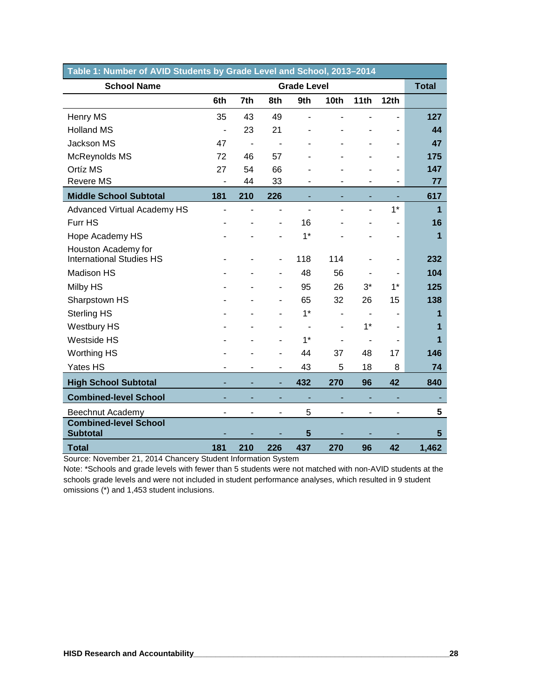| Table 1: Number of AVID Students by Grade Level and School, 2013-2014 |                          |                |                |                          |                  |       |      |                |  |
|-----------------------------------------------------------------------|--------------------------|----------------|----------------|--------------------------|------------------|-------|------|----------------|--|
| <b>School Name</b>                                                    |                          |                |                | <b>Grade Level</b>       |                  |       |      | <b>Total</b>   |  |
|                                                                       | 6th                      | 7th            | 8th            | 9th                      | 10 <sub>th</sub> | 11th  | 12th |                |  |
| Henry MS                                                              | 35                       | 43             | 49             |                          |                  |       |      | 127            |  |
| <b>Holland MS</b>                                                     | $\overline{\phantom{a}}$ | 23             | 21             |                          |                  |       |      | 44             |  |
| Jackson MS                                                            | 47                       | $\blacksquare$ |                |                          |                  |       |      | 47             |  |
| McReynolds MS                                                         | 72                       | 46             | 57             |                          |                  |       |      | 175            |  |
| Ortíz MS                                                              | 27                       | 54             | 66             |                          |                  |       |      | 147            |  |
| <b>Revere MS</b>                                                      | ٠                        | 44             | 33             |                          |                  |       |      | 77             |  |
| <b>Middle School Subtotal</b>                                         | 181                      | 210            | 226            |                          |                  |       |      | 617            |  |
| Advanced Virtual Academy HS                                           | ÷,                       |                |                |                          |                  |       | $1*$ | $\overline{1}$ |  |
| Furr HS                                                               |                          |                | ٠              | 16                       |                  |       |      | 16             |  |
| Hope Academy HS                                                       |                          |                |                | $1*$                     |                  |       |      | 1              |  |
| Houston Academy for<br><b>International Studies HS</b>                |                          |                | ٠              | 118                      | 114              |       |      | 232            |  |
| Madison HS                                                            |                          |                |                | 48                       | 56               |       |      | 104            |  |
| Milby HS                                                              |                          |                | ٠              | 95                       | 26               | $3^*$ | $1*$ | 125            |  |
| Sharpstown HS                                                         |                          |                |                | 65                       | 32               | 26    | 15   | 138            |  |
| <b>Sterling HS</b>                                                    |                          |                |                | $1*$                     | ÷,               |       |      | 1              |  |
| <b>Westbury HS</b>                                                    |                          |                |                | $\overline{\phantom{a}}$ |                  | $1*$  |      | 1              |  |
| Westside HS                                                           |                          |                |                | $1*$                     |                  |       |      | 1              |  |
| <b>Worthing HS</b>                                                    |                          |                |                | 44                       | 37               | 48    | 17   | 146            |  |
| Yates HS                                                              |                          |                | $\blacksquare$ | 43                       | 5                | 18    | 8    | 74             |  |
|                                                                       |                          |                |                |                          |                  |       |      |                |  |
| <b>High School Subtotal</b>                                           |                          |                | ٠              | 432                      | 270              | 96    | 42   | 840            |  |
| <b>Combined-level School</b>                                          |                          |                |                |                          |                  |       |      |                |  |
| Beechnut Academy                                                      |                          |                | ٠              | 5                        |                  |       |      | 5              |  |
| <b>Combined-level School</b><br><b>Subtotal</b>                       |                          |                |                | 5                        |                  |       |      | 5              |  |
| <b>Total</b>                                                          | 181                      | 210            | 226            | 437                      | 270              | 96    | 42   | 1,462          |  |

Source: November 21, 2014 Chancery Student Information System

Note: \*Schools and grade levels with fewer than 5 students were not matched with non-AVID students at the schools grade levels and were not included in student performance analyses, which resulted in 9 student omissions (\*) and 1,453 student inclusions.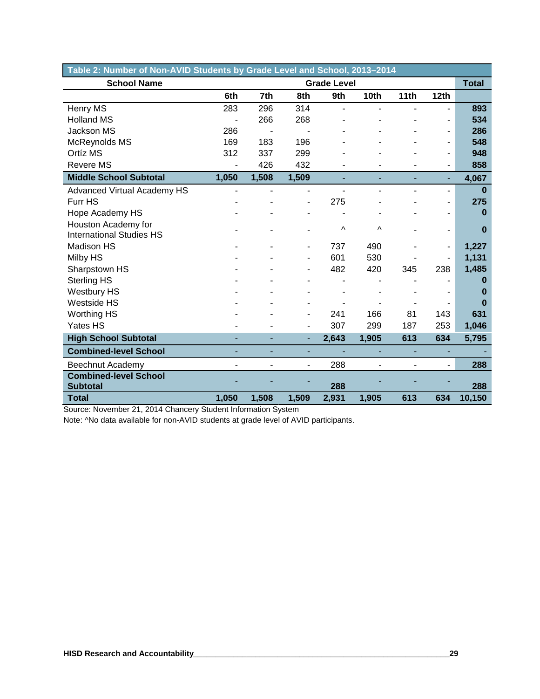| Table 2: Number of Non-AVID Students by Grade Level and School, 2013-2014 |       |       |                          |                    |                          |      |                          |              |  |
|---------------------------------------------------------------------------|-------|-------|--------------------------|--------------------|--------------------------|------|--------------------------|--------------|--|
| <b>School Name</b>                                                        |       |       |                          | <b>Grade Level</b> |                          |      |                          | <b>Total</b> |  |
|                                                                           | 6th   | 7th   | 8th                      | 9th                | 10th                     | 11th | 12th                     |              |  |
| Henry MS                                                                  | 283   | 296   | 314                      | L.                 | ۰                        |      |                          | 893          |  |
| <b>Holland MS</b>                                                         |       | 266   | 268                      |                    |                          |      | ۰                        | 534          |  |
| <b>Jackson MS</b>                                                         | 286   |       |                          |                    |                          |      | ٠                        | 286          |  |
| McReynolds MS                                                             | 169   | 183   | 196                      |                    |                          |      | ۰                        | 548          |  |
| Ortíz MS                                                                  | 312   | 337   | 299                      |                    |                          |      | ۰                        | 948          |  |
| <b>Revere MS</b>                                                          | ٠     | 426   | 432                      |                    | ä,                       |      | ۰                        | 858          |  |
| <b>Middle School Subtotal</b>                                             | 1,050 | 1,508 | 1,509                    |                    | ٠                        | ٠    | ٠                        | 4,067        |  |
| <b>Advanced Virtual Academy HS</b>                                        |       |       |                          |                    | $\overline{\phantom{0}}$ |      | ٠                        | $\bf{0}$     |  |
| Furr HS                                                                   |       |       | ۰                        | 275                |                          |      | -                        | 275          |  |
| Hope Academy HS                                                           |       |       |                          |                    |                          |      | ۳                        | 0            |  |
| Houston Academy for                                                       |       |       |                          | Λ                  | $\wedge$                 |      |                          | $\bf{0}$     |  |
| <b>International Studies HS</b>                                           |       |       |                          |                    |                          |      |                          |              |  |
| Madison HS                                                                |       |       | ۳                        | 737                | 490                      |      | $\overline{\phantom{a}}$ | 1,227        |  |
| Milby HS                                                                  |       |       | ۰                        | 601                | 530                      |      | ٠                        | 1,131        |  |
| Sharpstown HS                                                             |       |       |                          | 482                | 420                      | 345  | 238                      | 1,485        |  |
| <b>Sterling HS</b>                                                        |       |       |                          |                    |                          |      |                          | 0            |  |
| <b>Westbury HS</b>                                                        |       |       |                          |                    |                          |      |                          | O            |  |
| Westside HS                                                               |       |       |                          |                    |                          |      |                          | O            |  |
| <b>Worthing HS</b>                                                        |       |       |                          | 241                | 166                      | 81   | 143                      | 631          |  |
| Yates HS                                                                  |       |       | ۰                        | 307                | 299                      | 187  | 253                      | 1,046        |  |
| <b>High School Subtotal</b>                                               | L.    |       | ٠                        | 2,643              | 1,905                    | 613  | 634                      | 5,795        |  |
| <b>Combined-level School</b>                                              | ÷     | ٠     | ٠                        |                    | ٠                        |      | ٠                        |              |  |
| Beechnut Academy                                                          | L,    | ٠     | $\overline{\phantom{0}}$ | 288                | ۰                        |      | L.                       | 288          |  |
| <b>Combined-level School</b>                                              |       |       |                          |                    |                          |      |                          |              |  |
| <b>Subtotal</b>                                                           |       |       |                          | 288                |                          |      |                          | 288          |  |
| <b>Total</b>                                                              | 1,050 | 1,508 | 1,509                    | 2,931              | 1,905                    | 613  | 634                      | 10,150       |  |

Source: November 21, 2014 Chancery Student Information System

Note: ^No data available for non-AVID students at grade level of AVID participants.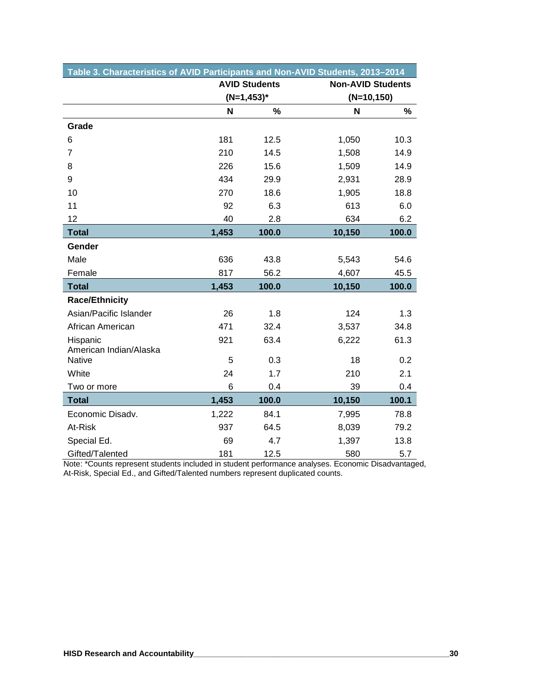| Table 3. Characteristics of AVID Participants and Non-AVID Students, 2013–2014 |       |                      |                          |       |
|--------------------------------------------------------------------------------|-------|----------------------|--------------------------|-------|
|                                                                                |       | <b>AVID Students</b> | <b>Non-AVID Students</b> |       |
|                                                                                |       | $(N=1, 453)^*$       | $(N=10,150)$             |       |
|                                                                                | N     | $\%$                 | N                        | %     |
| Grade                                                                          |       |                      |                          |       |
| 6                                                                              | 181   | 12.5                 | 1,050                    | 10.3  |
| $\overline{7}$                                                                 | 210   | 14.5                 | 1,508                    | 14.9  |
| 8                                                                              | 226   | 15.6                 | 1,509                    | 14.9  |
| 9                                                                              | 434   | 29.9                 | 2,931                    | 28.9  |
| 10                                                                             | 270   | 18.6                 | 1,905                    | 18.8  |
| 11                                                                             | 92    | 6.3                  | 613                      | 6.0   |
| 12                                                                             | 40    | 2.8                  | 634                      | 6.2   |
| <b>Total</b>                                                                   | 1,453 | 100.0                | 10,150                   | 100.0 |
| Gender                                                                         |       |                      |                          |       |
| Male                                                                           | 636   | 43.8                 | 5,543                    | 54.6  |
| Female                                                                         | 817   | 56.2                 | 4,607                    | 45.5  |
| <b>Total</b>                                                                   | 1,453 | 100.0                | 10,150                   | 100.0 |
| <b>Race/Ethnicity</b>                                                          |       |                      |                          |       |
| Asian/Pacific Islander                                                         | 26    | 1.8                  | 124                      | 1.3   |
| African American                                                               | 471   | 32.4                 | 3,537                    | 34.8  |
| Hispanic<br>American Indian/Alaska                                             | 921   | 63.4                 | 6,222                    | 61.3  |
| Native                                                                         | 5     | 0.3                  | 18                       | 0.2   |
| White                                                                          | 24    | 1.7                  | 210                      | 2.1   |
| Two or more                                                                    | 6     | 0.4                  | 39                       | 0.4   |
| <b>Total</b>                                                                   | 1,453 | 100.0                | 10,150                   | 100.1 |
| Economic Disadv.                                                               | 1,222 | 84.1                 | 7,995                    | 78.8  |
| At-Risk                                                                        | 937   | 64.5                 | 8,039                    | 79.2  |
| Special Ed.                                                                    | 69    | 4.7                  | 1,397                    | 13.8  |
| Gifted/Talented                                                                | 181   | 12.5                 | 580                      | 5.7   |

Note: \*Counts represent students included in student performance analyses. Economic Disadvantaged, At-Risk, Special Ed., and Gifted/Talented numbers represent duplicated counts.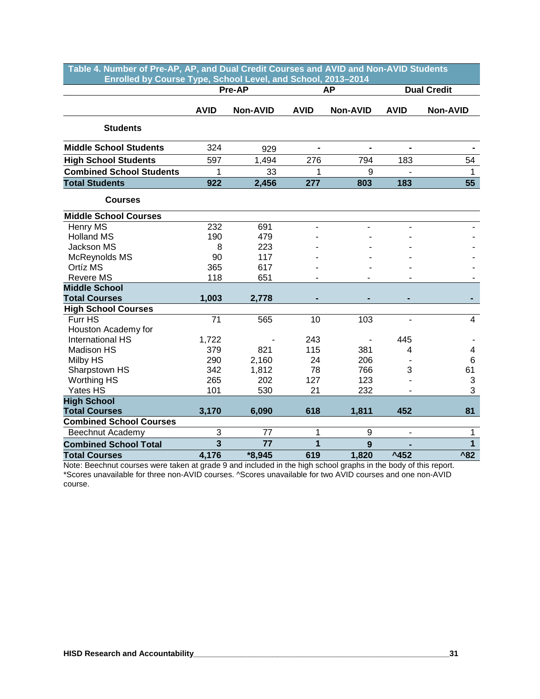| Table 4. Number of Pre-AP, AP, and Dual Credit Courses and AVID and Non-AVID Students<br>Enrolled by Course Type, School Level, and School, 2013-2014 |                         |          |             |                 |                              |                    |
|-------------------------------------------------------------------------------------------------------------------------------------------------------|-------------------------|----------|-------------|-----------------|------------------------------|--------------------|
|                                                                                                                                                       |                         | Pre-AP   |             | <b>AP</b>       |                              | <b>Dual Credit</b> |
|                                                                                                                                                       |                         |          |             |                 |                              |                    |
|                                                                                                                                                       | <b>AVID</b>             | Non-AVID | <b>AVID</b> | <b>Non-AVID</b> | <b>AVID</b>                  | Non-AVID           |
| <b>Students</b>                                                                                                                                       |                         |          |             |                 |                              |                    |
| <b>Middle School Students</b>                                                                                                                         | 324                     | 929      |             |                 |                              |                    |
| <b>High School Students</b>                                                                                                                           | 597                     | 1,494    | 276         | 794             | 183                          | 54                 |
| <b>Combined School Students</b>                                                                                                                       | 1                       | 33       | 1           | 9               | $\overline{\phantom{a}}$     | 1                  |
| <b>Total Students</b>                                                                                                                                 | 922                     | 2,456    | 277         | 803             | 183                          | 55                 |
| <b>Courses</b>                                                                                                                                        |                         |          |             |                 |                              |                    |
| <b>Middle School Courses</b>                                                                                                                          |                         |          |             |                 |                              |                    |
| Henry MS                                                                                                                                              | 232                     | 691      |             |                 |                              |                    |
| <b>Holland MS</b>                                                                                                                                     | 190                     | 479      |             |                 |                              |                    |
| Jackson MS                                                                                                                                            | 8                       | 223      |             |                 |                              |                    |
| McReynolds MS                                                                                                                                         | 90                      | 117      |             |                 |                              |                    |
| Ortíz MS                                                                                                                                              | 365                     | 617      |             |                 |                              |                    |
| <b>Revere MS</b>                                                                                                                                      | 118                     | 651      |             |                 |                              |                    |
| <b>Middle School</b>                                                                                                                                  |                         |          |             |                 |                              |                    |
| <b>Total Courses</b>                                                                                                                                  | 1,003                   | 2,778    |             |                 |                              |                    |
| <b>High School Courses</b>                                                                                                                            |                         |          |             |                 |                              |                    |
| Furr HS                                                                                                                                               | 71                      | 565      | 10          | 103             | $\overline{\phantom{a}}$     | $\overline{4}$     |
| Houston Academy for                                                                                                                                   |                         |          |             |                 |                              |                    |
| <b>International HS</b>                                                                                                                               | 1,722                   |          | 243         |                 | 445                          |                    |
| <b>Madison HS</b>                                                                                                                                     | 379                     | 821      | 115         | 381             | 4                            | 4                  |
| Milby HS                                                                                                                                              | 290                     | 2,160    | 24          | 206             |                              | $\,6$              |
| Sharpstown HS                                                                                                                                         | 342                     | 1,812    | 78          | 766             | 3                            | 61                 |
| <b>Worthing HS</b>                                                                                                                                    | 265                     | 202      | 127         | 123             |                              | 3                  |
| Yates HS                                                                                                                                              | 101                     | 530      | 21          | 232             | ٠                            | 3                  |
| <b>High School</b>                                                                                                                                    |                         |          |             |                 |                              |                    |
| <b>Total Courses</b>                                                                                                                                  | 3,170                   | 6,090    | 618         | 1,811           | 452                          | 81                 |
| <b>Combined School Courses</b>                                                                                                                        |                         |          |             |                 |                              |                    |
| Beechnut Academy                                                                                                                                      | 3                       | 77       | 1           | 9               | $\qquad \qquad \blacksquare$ | 1                  |
| <b>Combined School Total</b>                                                                                                                          | $\overline{\mathbf{3}}$ | 77       | 1           | 9               |                              | $\mathbf{1}$       |
| <b>Total Courses</b>                                                                                                                                  | 4,176                   | *8,945   | 619         | 1,820           | $^{\text{A}}$ 452            | $^{\prime}82$      |

Note: Beechnut courses were taken at grade 9 and included in the high school graphs in the body of this report. \*Scores unavailable for three non-AVID courses. ^Scores unavailable for two AVID courses and one non-AVID course.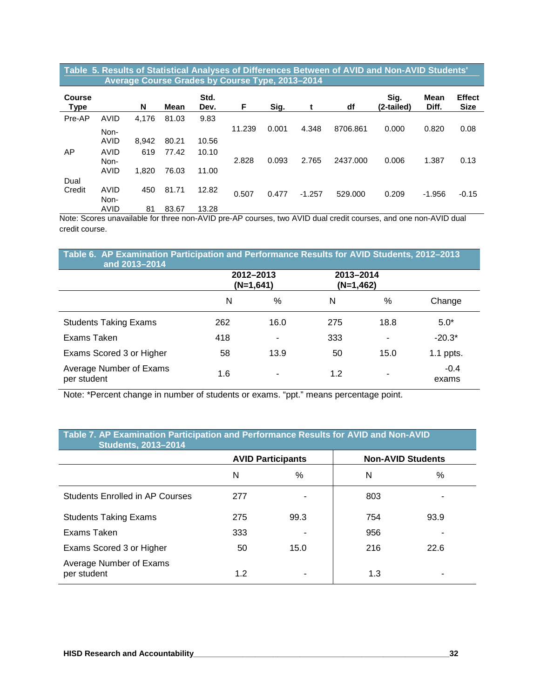#### **Table 5. Results of Statistical Analyses of Differences Between of AVID and Non-AVID Students' …….….…Average Course Grades by Course Type, 2013–2014**

| <b>Course</b><br><b>Type</b> |              | N     | Mean  | Std.<br>Dev. | F      | Sig.  | t        | df       | Sig.<br>(2-tailed) | Mean<br>Diff. | <b>Effect</b><br><b>Size</b> |
|------------------------------|--------------|-------|-------|--------------|--------|-------|----------|----------|--------------------|---------------|------------------------------|
| Pre-AP                       | AVID         | 4,176 | 81.03 | 9.83         |        |       |          |          |                    |               |                              |
|                              | Non-         |       |       |              | 11.239 | 0.001 | 4.348    | 8706.861 | 0.000              | 0.820         | 0.08                         |
|                              | AVID         | 8,942 | 80.21 | 10.56        |        |       |          |          |                    |               |                              |
| AP                           | AVID<br>Non- | 619   | 77.42 | 10.10        | 2.828  | 0.093 | 2.765    | 2437.000 | 0.006              | 1.387         | 0.13                         |
|                              | AVID         | 1,820 | 76.03 | 11.00        |        |       |          |          |                    |               |                              |
| Dual                         |              |       |       |              |        |       |          |          |                    |               |                              |
| Credit                       | AVID<br>Non- | 450   | 81.71 | 12.82        | 0.507  | 0.477 | $-1.257$ | 529,000  | 0.209              | $-1.956$      | $-0.15$                      |
|                              | AVID         | 81    | 83.67 | 13.28        |        |       |          |          |                    |               |                              |

Note: Scores unavailable for three non-AVID pre-AP courses, two AVID dual credit courses, and one non-AVID dual credit course.

| and 2013-2014                          | Table 6. AP Examination Participation and Performance Results for AVID Students, 2012-2013 |                          |                        |      |                 |  |  |  |  |  |  |
|----------------------------------------|--------------------------------------------------------------------------------------------|--------------------------|------------------------|------|-----------------|--|--|--|--|--|--|
|                                        |                                                                                            | 2012-2013<br>$(N=1,641)$ | 2013-2014<br>(N=1,462) |      |                 |  |  |  |  |  |  |
|                                        | N                                                                                          | $\frac{0}{0}$            | N                      | $\%$ | Change          |  |  |  |  |  |  |
| <b>Students Taking Exams</b>           | 262                                                                                        | 16.0                     | 275                    | 18.8 | $5.0*$          |  |  |  |  |  |  |
| Exams Taken                            | 418                                                                                        |                          | 333                    | ۰    | $-20.3*$        |  |  |  |  |  |  |
| Exams Scored 3 or Higher               | 58                                                                                         | 13.9                     | 50                     | 15.0 | $1.1$ ppts.     |  |  |  |  |  |  |
| Average Number of Exams<br>per student | 1.6                                                                                        | $\overline{\phantom{a}}$ | 1.2                    | ۰    | $-0.4$<br>exams |  |  |  |  |  |  |

Note: \*Percent change in number of students or exams. "ppt." means percentage point.

#### Table 7. AP Examination Participation and Performance Results for AVID and Non-AVID **…………Students, 2013–2014**

|                                        |     | <b>AVID Participants</b> | <b>Non-AVID Students</b> |      |
|----------------------------------------|-----|--------------------------|--------------------------|------|
|                                        | N   | $\%$                     | N                        | $\%$ |
| <b>Students Enrolled in AP Courses</b> | 277 |                          | 803                      | -    |
| <b>Students Taking Exams</b>           | 275 | 99.3                     | 754                      | 93.9 |
| Exams Taken                            | 333 |                          | 956                      | -    |
| Exams Scored 3 or Higher               | 50  | 15.0                     | 216                      | 22.6 |
| Average Number of Exams<br>per student | 1.2 |                          | 1.3                      | ۰    |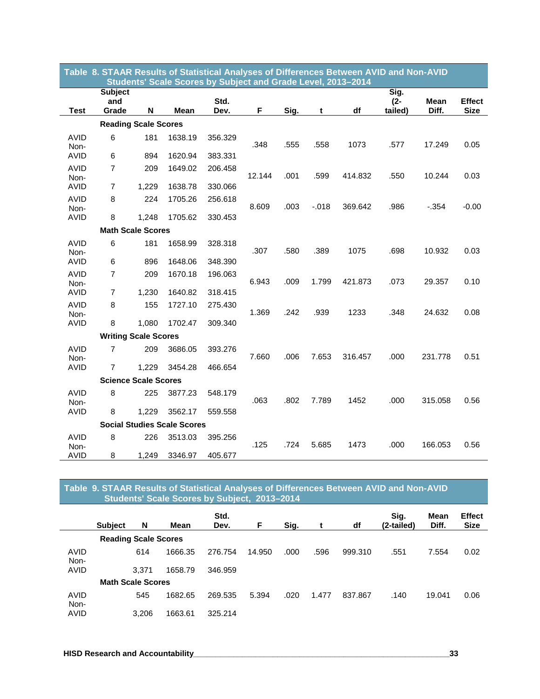|                     | Table 8. STAAR Results of Statistical Analyses of Differences Between AVID and Non-AVID<br>Students' Scale Scores by Subject and Grade Level, 2013-2014 |       |                                    |              |        |      |          |         |                           |               |                              |
|---------------------|---------------------------------------------------------------------------------------------------------------------------------------------------------|-------|------------------------------------|--------------|--------|------|----------|---------|---------------------------|---------------|------------------------------|
| <b>Test</b>         | <b>Subject</b><br>and<br>Grade                                                                                                                          | N     | Mean                               | Std.<br>Dev. | F      | Sig. | t        | df      | Sig.<br>$(2 -$<br>tailed) | Mean<br>Diff. | <b>Effect</b><br><b>Size</b> |
|                     | <b>Reading Scale Scores</b>                                                                                                                             |       |                                    |              |        |      |          |         |                           |               |                              |
| <b>AVID</b><br>Non- | 6                                                                                                                                                       | 181   | 1638.19                            | 356.329      | .348   | .555 | .558     | 1073    | .577                      | 17.249        | 0.05                         |
| AVID                | 6                                                                                                                                                       | 894   | 1620.94                            | 383.331      |        |      |          |         |                           |               |                              |
| <b>AVID</b><br>Non- | $\overline{7}$                                                                                                                                          | 209   | 1649.02                            | 206.458      | 12.144 | .001 | .599     | 414.832 | .550                      | 10.244        | 0.03                         |
| <b>AVID</b>         | $\overline{7}$                                                                                                                                          | 1,229 | 1638.78                            | 330.066      |        |      |          |         |                           |               |                              |
| <b>AVID</b><br>Non- | 8                                                                                                                                                       | 224   | 1705.26                            | 256.618      | 8.609  | .003 | $-0.018$ | 369.642 | .986                      | $-.354$       | $-0.00$                      |
| <b>AVID</b>         | 8                                                                                                                                                       | 1,248 | 1705.62                            | 330.453      |        |      |          |         |                           |               |                              |
|                     | <b>Math Scale Scores</b>                                                                                                                                |       |                                    |              |        |      |          |         |                           |               |                              |
| <b>AVID</b><br>Non- | 6                                                                                                                                                       | 181   | 1658.99                            | 328.318      | .307   | .580 | .389     | 1075    | .698                      | 10.932        | 0.03                         |
| <b>AVID</b>         | 6                                                                                                                                                       | 896   | 1648.06                            | 348.390      |        |      |          |         |                           |               |                              |
| <b>AVID</b><br>Non- | $\overline{7}$                                                                                                                                          | 209   | 1670.18                            | 196.063      | 6.943  | .009 | 1.799    | 421.873 | .073                      | 29.357        | 0.10                         |
| AVID                | $\overline{7}$                                                                                                                                          | 1,230 | 1640.82                            | 318.415      |        |      |          |         |                           |               |                              |
| <b>AVID</b><br>Non- | 8                                                                                                                                                       | 155   | 1727.10                            | 275.430      | 1.369  | .242 | .939     | 1233    | .348                      | 24.632        | 0.08                         |
| <b>AVID</b>         | 8                                                                                                                                                       | 1,080 | 1702.47                            | 309.340      |        |      |          |         |                           |               |                              |
|                     | <b>Writing Scale Scores</b>                                                                                                                             |       |                                    |              |        |      |          |         |                           |               |                              |
| <b>AVID</b><br>Non- | $\overline{7}$                                                                                                                                          | 209   | 3686.05                            | 393.276      | 7.660  | .006 | 7.653    | 316.457 | .000                      | 231.778       | 0.51                         |
| <b>AVID</b>         | $\overline{7}$                                                                                                                                          | 1,229 | 3454.28                            | 466.654      |        |      |          |         |                           |               |                              |
|                     | <b>Science Scale Scores</b>                                                                                                                             |       |                                    |              |        |      |          |         |                           |               |                              |
| <b>AVID</b><br>Non- | 8                                                                                                                                                       | 225   | 3877.23                            | 548.179      | .063   | .802 | 7.789    | 1452    | .000                      | 315.058       | 0.56                         |
| <b>AVID</b>         | 8                                                                                                                                                       | 1,229 | 3562.17                            | 559.558      |        |      |          |         |                           |               |                              |
|                     |                                                                                                                                                         |       | <b>Social Studies Scale Scores</b> |              |        |      |          |         |                           |               |                              |
| <b>AVID</b><br>Non- | 8                                                                                                                                                       | 226   | 3513.03                            | 395.256      | .125   | .724 | 5.685    | 1473    | .000                      | 166.053       | 0.56                         |
| AVID                | 8                                                                                                                                                       | 1,249 | 3346.97                            | 405.677      |        |      |          |         |                           |               |                              |

#### **Table 9. STAAR Results of Statistical Analyses of Differences Between AVID and Non-AVID …….….…Students' Scale Scores by Subject, 2013–2014**

|              |                |                             |         | Std.    |        |      |       |         | Sig.       | Mean   | <b>Effect</b> |
|--------------|----------------|-----------------------------|---------|---------|--------|------|-------|---------|------------|--------|---------------|
|              | <b>Subject</b> | N                           | Mean    | Dev.    | F      | Sig. |       | df      | (2-tailed) | Diff.  | <b>Size</b>   |
|              |                | <b>Reading Scale Scores</b> |         |         |        |      |       |         |            |        |               |
| AVID<br>Non- |                | 614                         | 1666.35 | 276.754 | 14.950 | .000 | .596  | 999.310 | .551       | 7.554  | 0.02          |
| AVID         |                | 3.371                       | 1658.79 | 346.959 |        |      |       |         |            |        |               |
|              |                | <b>Math Scale Scores</b>    |         |         |        |      |       |         |            |        |               |
| AVID<br>Non- |                | 545                         | 1682.65 | 269.535 | 5.394  | .020 | 1.477 | 837.867 | .140       | 19.041 | 0.06          |
| AVID         |                | 3.206                       | 1663.61 | 325.214 |        |      |       |         |            |        |               |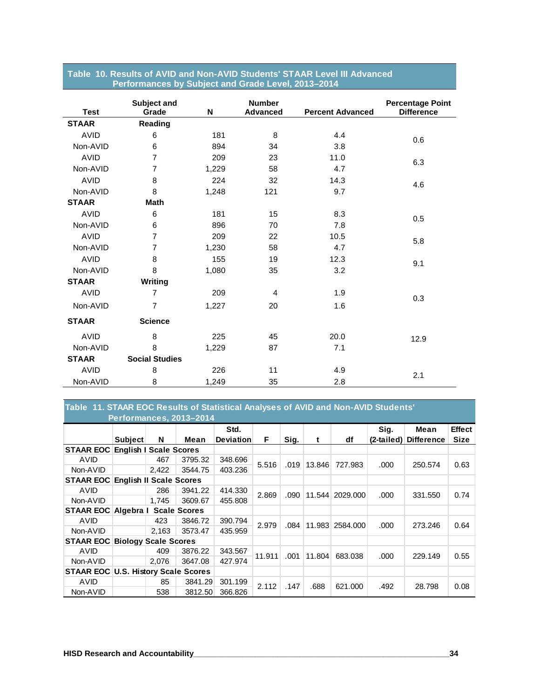| <b>Test</b>  | Subject and<br>Grade  | N     | <b>Number</b><br><b>Advanced</b> | <b>Percent Advanced</b> | <b>Percentage Point</b><br><b>Difference</b> |
|--------------|-----------------------|-------|----------------------------------|-------------------------|----------------------------------------------|
| <b>STAAR</b> | Reading               |       |                                  |                         |                                              |
| <b>AVID</b>  | 6                     | 181   | 8                                | 4.4                     | 0.6                                          |
| Non-AVID     | 6                     | 894   | 34                               | 3.8                     |                                              |
| <b>AVID</b>  | $\overline{7}$        | 209   | 23                               | 11.0                    | 6.3                                          |
| Non-AVID     | $\overline{7}$        | 1,229 | 58                               | 4.7                     |                                              |
| <b>AVID</b>  | 8                     | 224   | 32                               | 14.3                    | 4.6                                          |
| Non-AVID     | 8                     | 1,248 | 121                              | 9.7                     |                                              |
| <b>STAAR</b> | <b>Math</b>           |       |                                  |                         |                                              |
| <b>AVID</b>  | 6                     | 181   | 15                               | 8.3                     | 0.5                                          |
| Non-AVID     | 6                     | 896   | 70                               | 7.8                     |                                              |
| <b>AVID</b>  | $\overline{7}$        | 209   | 22                               | 10.5                    | 5.8                                          |
| Non-AVID     | $\overline{7}$        | 1,230 | 58                               | 4.7                     |                                              |
| <b>AVID</b>  | 8                     | 155   | 19                               | 12.3                    | 9.1                                          |
| Non-AVID     | 8                     | 1,080 | 35                               | 3.2                     |                                              |
| <b>STAAR</b> | Writing               |       |                                  |                         |                                              |
| <b>AVID</b>  | $\overline{7}$        | 209   | 4                                | 1.9                     | 0.3                                          |
| Non-AVID     | $\overline{7}$        | 1,227 | 20                               | 1.6                     |                                              |
| <b>STAAR</b> | <b>Science</b>        |       |                                  |                         |                                              |
| <b>AVID</b>  | 8                     | 225   | 45                               | 20.0                    | 12.9                                         |
| Non-AVID     | 8                     | 1,229 | 87                               | 7.1                     |                                              |
| <b>STAAR</b> | <b>Social Studies</b> |       |                                  |                         |                                              |
| <b>AVID</b>  | 8                     | 226   | 11                               | 4.9                     | 2.1                                          |
| Non-AVID     | 8                     | 1,249 | 35                               | 2.8                     |                                              |

#### **Table 10. Results of AVID and Non-AVID Students' STAAR Level III Advanced …….…...…Performances by Subject and Grade Level, 2013–2014**

#### **Table 11. STAAR EOC Results of Statistical Analyses of AVID and Non-AVID Students' ….….…..…Performances, 2013–2014**

|                                          |                             |                                            |                     | Std.             |        |      |        |                 | Sig. | Mean                  | <b>Effect</b> |
|------------------------------------------|-----------------------------|--------------------------------------------|---------------------|------------------|--------|------|--------|-----------------|------|-----------------------|---------------|
|                                          | <b>Subject</b>              | N                                          | Mean                | <b>Deviation</b> | F.     | Sig. | t      | df              |      | (2-tailed) Difference | <b>Size</b>   |
| <b>STAAR EOC English I Scale Scores</b>  |                             |                                            |                     |                  |        |      |        |                 |      |                       |               |
| AVID                                     |                             | 467                                        | 3795.32             | 348.696          | 5.516  | .019 | 13.846 | 727.983         | .000 | 250.574               | 0.63          |
| Non-AVID                                 |                             | 2.422                                      | 3544.75             | 403.236          |        |      |        |                 |      |                       |               |
| <b>STAAR EOC English II Scale Scores</b> |                             |                                            |                     |                  |        |      |        |                 |      |                       |               |
| AVID                                     |                             | 286                                        | 3941.22             | 414.330          | 2.869  | .090 |        | 11.544 2029.000 | .000 | 331.550               | 0.74          |
| Non-AVID                                 |                             | 1.745                                      | 3609.67             | 455.808          |        |      |        |                 |      |                       |               |
| <b>STAAR EOC Algebra I</b>               |                             |                                            | <b>Scale Scores</b> |                  |        |      |        |                 |      |                       |               |
| AVID                                     |                             | 423                                        | 3846.72             | 390.794          | 2.979  | .084 |        | 11.983 2584.000 | .000 | 273.246               | 0.64          |
| Non-AVID                                 |                             | 2,163                                      | 3573.47             | 435.959          |        |      |        |                 |      |                       |               |
| <b>STAAR EOC</b>                         | <b>Biology Scale Scores</b> |                                            |                     |                  |        |      |        |                 |      |                       |               |
| AVID                                     |                             | 409                                        | 3876.22             | 343.567          | 11.911 | .001 | 11.804 | 683.038         | .000 | 229.149               | 0.55          |
| Non-AVID                                 |                             | 2.076                                      | 3647.08             | 427.974          |        |      |        |                 |      |                       |               |
|                                          |                             | <b>STAAR EOC U.S. History Scale Scores</b> |                     |                  |        |      |        |                 |      |                       |               |
| AVID                                     |                             | 85                                         | 3841.29             | 301.199          | 2.112  | .147 | .688   | 621.000         | .492 | 28.798                | 0.08          |
| Non-AVID                                 |                             | 538                                        | 3812.50             | 366.826          |        |      |        |                 |      |                       |               |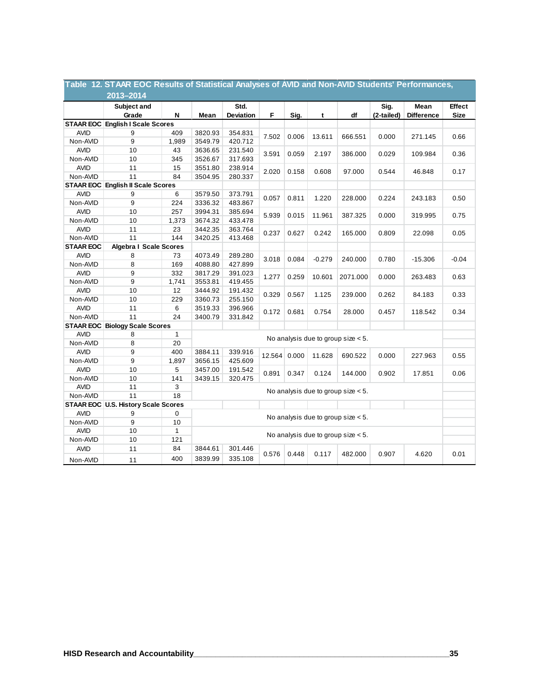|                         | Table 12. STAAR EOC Results of Statistical Analyses of AVID and Non-AVID Students' Performances, |         |                                       |                   |        |       |          |                                       |                    |                           |                              |
|-------------------------|--------------------------------------------------------------------------------------------------|---------|---------------------------------------|-------------------|--------|-------|----------|---------------------------------------|--------------------|---------------------------|------------------------------|
|                         | 2013-2014                                                                                        |         |                                       |                   |        |       |          |                                       |                    |                           |                              |
|                         | Subject and<br>Grade                                                                             | N       | Mean                                  | Std.<br>Deviation | F.     | Sig.  | t        | df                                    | Sig.<br>(2-tailed) | Mean<br><b>Difference</b> | <b>Effect</b><br><b>Size</b> |
|                         | <b>STAAR EOC English I Scale Scores</b>                                                          |         |                                       |                   |        |       |          |                                       |                    |                           |                              |
| <b>AVID</b>             | 9                                                                                                | 409     | 3820.93                               | 354.831           |        |       |          |                                       |                    |                           |                              |
| Non-AVID                | 9                                                                                                | 1,989   | 3549.79                               | 420.712           | 7.502  | 0.006 | 13.611   | 666.551                               | 0.000              | 271.145                   | 0.66                         |
| <b>AVID</b>             | 10                                                                                               | 43      | 3636.65                               | 231.540           |        |       |          |                                       |                    |                           |                              |
| Non-AVID                | 10                                                                                               | 345     | 3526.67                               | 317.693           | 3.591  | 0.059 | 2.197    | 386.000                               | 0.029              | 109.984                   | 0.36                         |
| <b>AVID</b>             | 11                                                                                               | 15      | 3551.80                               | 238.914           |        |       |          |                                       |                    |                           |                              |
| Non-AVID                | 11                                                                                               | 84      | 3504.95                               | 280.337           | 2.020  | 0.158 | 0.608    | 97.000                                | 0.544              | 46.848                    | 0.17                         |
|                         | <b>STAAR EOC English II Scale Scores</b>                                                         |         |                                       |                   |        |       |          |                                       |                    |                           |                              |
| <b>AVID</b>             | 9                                                                                                | 6       | 3579.50                               | 373.791           |        |       |          |                                       |                    |                           |                              |
| Non-AVID                | 9                                                                                                | 224     | 3336.32                               | 483.867           | 0.057  | 0.811 | 1.220    | 228.000                               | 0.224              | 243.183                   | 0.50                         |
| <b>AVID</b>             | 10                                                                                               | 257     | 3994.31                               | 385.694           |        |       |          |                                       |                    |                           |                              |
| Non-AVID                | 10                                                                                               | 1,373   | 3674.32                               | 433.478           | 5.939  | 0.015 | 11.961   | 387.325                               | 0.000              | 319.995                   | 0.75                         |
| <b>AVID</b>             | 11                                                                                               | 23      | 3442.35                               | 363.764           | 0.237  | 0.627 | 0.242    | 165.000                               | 0.809              |                           | 0.05                         |
| Non-AVID                | 11                                                                                               | 144     | 3420.25                               | 413.468           |        |       |          |                                       |                    | 22.098                    |                              |
| <b>STAAR EOC</b>        | <b>Algebra I Scale Scores</b>                                                                    |         |                                       |                   |        |       |          |                                       |                    |                           |                              |
| <b>AVID</b>             | 8                                                                                                | 73      | 4073.49                               | 289.280           | 3.018  | 0.084 | $-0.279$ | 240.000                               | 0.780              | $-15.306$                 | $-0.04$                      |
| Non-AVID                | 8                                                                                                | 169     | 4088.80                               | 427.899           |        |       |          |                                       |                    |                           |                              |
| <b>AVID</b>             | 9                                                                                                | 332     | 3817.29                               | 391.023           | 1.277  | 0.259 | 10.601   | 2071.000                              | 0.000              | 263.483                   | 0.63                         |
| Non-AVID                | 9                                                                                                | 1,741   | 3553.81                               | 419.455           |        |       |          |                                       |                    |                           |                              |
| <b>AVID</b>             | 10                                                                                               | 12      | 3444.92                               | 191.432           | 0.329  | 0.567 | 1.125    | 239.000                               | 0.262              | 84.183                    | 0.33                         |
| Non-AVID                | 10                                                                                               | 229     | 3360.73                               | 255.150           |        |       |          |                                       |                    |                           |                              |
| <b>AVID</b>             | 11                                                                                               | 6       | 3519.33                               | 396.966           | 0.172  | 0.681 | 0.754    | 28.000                                | 0.457              | 118.542                   | 0.34                         |
| Non-AVID                | 11                                                                                               | 24      | 3400.79                               | 331.842           |        |       |          |                                       |                    |                           |                              |
|                         | <b>STAAR EOC Biology Scale Scores</b>                                                            |         |                                       |                   |        |       |          |                                       |                    |                           |                              |
| <b>AVID</b>             | 8                                                                                                | 1       |                                       |                   |        |       |          | No analysis due to group size $< 5$ . |                    |                           |                              |
| Non-AVID                | 8                                                                                                | 20      |                                       |                   |        |       |          |                                       |                    |                           |                              |
| <b>AVID</b>             | 9                                                                                                | 400     | 3884.11                               | 339.916           | 12.564 | 0.000 | 11.628   | 690.522                               | 0.000              | 227.963                   | 0.55                         |
| Non-AVID                | 9                                                                                                | 1,897   | 3656.15                               | 425.609           |        |       |          |                                       |                    |                           |                              |
| <b>AVID</b>             | 10                                                                                               | 5       | 3457.00                               | 191.542           | 0.891  | 0.347 | 0.124    | 144.000                               | 0.902              | 17.851                    | 0.06                         |
| Non-AVID                | 10                                                                                               | 141     | 3439.15                               | 320.475           |        |       |          |                                       |                    |                           |                              |
| <b>AVID</b>             | 11                                                                                               | 3       |                                       |                   |        |       |          | No analysis due to group size $< 5$ . |                    |                           |                              |
| Non-AVID                | 11                                                                                               | 18      |                                       |                   |        |       |          |                                       |                    |                           |                              |
|                         | STAAR EOC U.S. History Scale Scores                                                              |         |                                       |                   |        |       |          |                                       |                    |                           |                              |
| <b>AVID</b><br>Non-AVID | 9<br>9                                                                                           | 0<br>10 | No analysis due to group size $< 5$ . |                   |        |       |          |                                       |                    |                           |                              |
| <b>AVID</b>             | 10                                                                                               | 1       |                                       |                   |        |       |          |                                       |                    |                           |                              |
| Non-AVID                | 10                                                                                               | 121     | No analysis due to group size $< 5$ . |                   |        |       |          |                                       |                    |                           |                              |
| <b>AVID</b>             | 11                                                                                               | 84      | 3844.61                               | 301.446           |        |       |          |                                       |                    |                           |                              |
| Non-AVID                | 11                                                                                               | 400     | 3839.99                               | 335.108           | 0.576  | 0.448 | 0.117    | 482.000                               | 0.907              | 4.620                     | 0.01                         |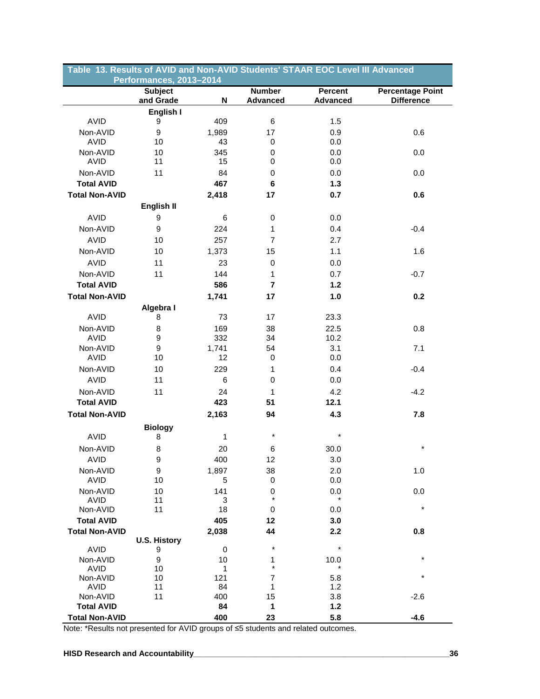| Table 13. Results of AVID and Non-AVID Students' STAAR EOC Level III Advanced<br>Performances, 2013-2014 |                             |       |                                  |                                   |                                              |  |  |
|----------------------------------------------------------------------------------------------------------|-----------------------------|-------|----------------------------------|-----------------------------------|----------------------------------------------|--|--|
|                                                                                                          | <b>Subject</b><br>and Grade | N     | <b>Number</b><br><b>Advanced</b> | <b>Percent</b><br><b>Advanced</b> | <b>Percentage Point</b><br><b>Difference</b> |  |  |
|                                                                                                          | English I                   |       |                                  |                                   |                                              |  |  |
| AVID                                                                                                     | 9                           | 409   | 6                                | 1.5                               |                                              |  |  |
| Non-AVID                                                                                                 | $\boldsymbol{9}$            | 1,989 | 17                               | 0.9                               | 0.6                                          |  |  |
| <b>AVID</b>                                                                                              | 10                          | 43    | 0                                | 0.0                               |                                              |  |  |
| Non-AVID                                                                                                 | 10                          | 345   | 0                                | 0.0                               | 0.0                                          |  |  |
| <b>AVID</b>                                                                                              | 11                          | 15    | 0                                | 0.0                               |                                              |  |  |
| Non-AVID                                                                                                 | 11                          | 84    | 0                                | 0.0                               | 0.0                                          |  |  |
| <b>Total AVID</b>                                                                                        |                             | 467   | 6                                | 1.3                               |                                              |  |  |
| <b>Total Non-AVID</b>                                                                                    |                             | 2,418 | 17                               | 0.7                               | 0.6                                          |  |  |
|                                                                                                          | English II                  |       |                                  |                                   |                                              |  |  |
|                                                                                                          |                             |       |                                  |                                   |                                              |  |  |
| AVID                                                                                                     | 9                           | 6     | 0                                | 0.0                               |                                              |  |  |
| Non-AVID                                                                                                 | 9                           | 224   | 1                                | 0.4                               | $-0.4$                                       |  |  |
| <b>AVID</b>                                                                                              | 10                          | 257   | $\overline{7}$                   | 2.7                               |                                              |  |  |
| Non-AVID                                                                                                 | 10                          | 1,373 | 15                               | 1.1                               | 1.6                                          |  |  |
| <b>AVID</b>                                                                                              | 11                          | 23    | 0                                | 0.0                               |                                              |  |  |
| Non-AVID                                                                                                 | 11                          | 144   | 1                                | 0.7                               | $-0.7$                                       |  |  |
| <b>Total AVID</b>                                                                                        |                             | 586   | $\overline{\mathbf{r}}$          | $1.2$                             |                                              |  |  |
| <b>Total Non-AVID</b>                                                                                    |                             |       |                                  |                                   | 0.2                                          |  |  |
|                                                                                                          |                             | 1,741 | 17                               | 1.0                               |                                              |  |  |
|                                                                                                          | Algebra I                   |       |                                  |                                   |                                              |  |  |
| <b>AVID</b>                                                                                              | 8                           | 73    | 17                               | 23.3                              |                                              |  |  |
| Non-AVID                                                                                                 | 8                           | 169   | 38                               | 22.5                              | 0.8                                          |  |  |
| <b>AVID</b>                                                                                              | 9                           | 332   | 34                               | 10.2                              |                                              |  |  |
| Non-AVID                                                                                                 | 9                           | 1,741 | 54                               | 3.1                               | 7.1                                          |  |  |
| <b>AVID</b>                                                                                              | 10                          | 12    | 0                                | 0.0                               |                                              |  |  |
| Non-AVID                                                                                                 | 10                          | 229   | 1                                | 0.4                               | $-0.4$                                       |  |  |
| <b>AVID</b>                                                                                              | 11                          | 6     | 0                                | 0.0                               |                                              |  |  |
| Non-AVID                                                                                                 | 11                          | 24    | $\mathbf{1}$                     | 4.2                               | $-4.2$                                       |  |  |
| <b>Total AVID</b>                                                                                        |                             | 423   | 51                               | 12.1                              |                                              |  |  |
| <b>Total Non-AVID</b>                                                                                    |                             | 2,163 | 94                               | 4.3                               | 7.8                                          |  |  |
|                                                                                                          |                             |       |                                  |                                   |                                              |  |  |
|                                                                                                          | <b>Biology</b>              |       | *                                | $\star$                           |                                              |  |  |
| <b>AVID</b>                                                                                              | 8                           | 1     |                                  |                                   |                                              |  |  |
| Non-AVID                                                                                                 | 8                           | 20    | 6                                | 30.0                              |                                              |  |  |
| AVID                                                                                                     | 9                           | 400   | 12                               | 3.0                               |                                              |  |  |
| Non-AVID                                                                                                 | 9                           | 1,897 | 38                               | 2.0                               | 1.0                                          |  |  |
| AVID                                                                                                     | 10                          | 5     | 0                                | 0.0                               |                                              |  |  |
| Non-AVID                                                                                                 | 10                          | 141   | 0                                | 0.0                               | 0.0                                          |  |  |
| AVID                                                                                                     | 11                          | 3     | $\star$                          | $\star$                           |                                              |  |  |
| Non-AVID                                                                                                 | 11                          | 18    | 0                                | 0.0                               | $\star$                                      |  |  |
| <b>Total AVID</b>                                                                                        |                             | 405   | 12                               | 3.0                               |                                              |  |  |
| <b>Total Non-AVID</b>                                                                                    |                             | 2,038 | 44                               | 2.2                               | 0.8                                          |  |  |
|                                                                                                          | <b>U.S. History</b>         |       |                                  |                                   |                                              |  |  |
| <b>AVID</b>                                                                                              | 9                           | 0     | $^{\star}$                       | $\star$                           |                                              |  |  |
| Non-AVID                                                                                                 | 9                           | 10    | 1                                | 10.0                              | $\star$                                      |  |  |
| AVID                                                                                                     | 10                          | 1     | $\star$                          |                                   |                                              |  |  |
| Non-AVID                                                                                                 | 10                          | 121   | 7                                | 5.8                               | *                                            |  |  |
| AVID                                                                                                     | 11                          | 84    | 1                                | 1.2                               |                                              |  |  |
| Non-AVID                                                                                                 | 11                          | 400   | 15                               | 3.8                               | $-2.6$                                       |  |  |
| <b>Total AVID</b>                                                                                        |                             | 84    | 1                                | 1.2                               |                                              |  |  |
| <b>Total Non-AVID</b>                                                                                    |                             | 400   | 23                               | 5.8                               | $-4.6$                                       |  |  |

Note: \*Results not presented for AVID groups of ≤5 students and related outcomes.